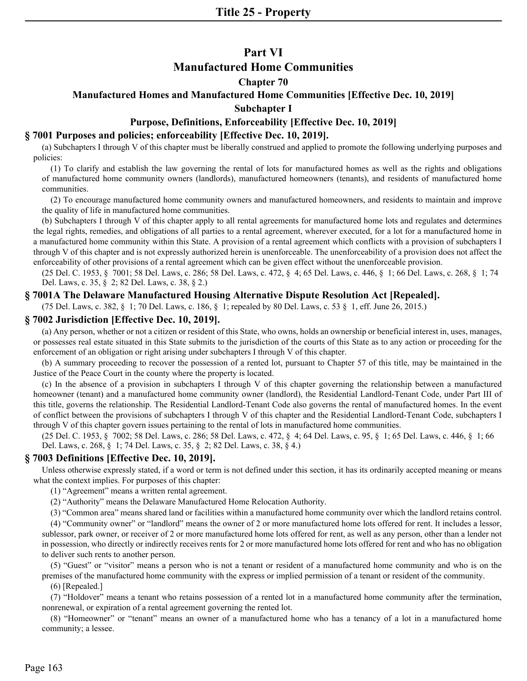# **Part VI**

# **Manufactured Home Communities**

# **Chapter 70**

# **Manufactured Homes and Manufactured Home Communities [Effective Dec. 10, 2019]**

## **Subchapter I**

# **Purpose, Definitions, Enforceability [Effective Dec. 10, 2019]**

# **§ 7001 Purposes and policies; enforceability [Effective Dec. 10, 2019].**

(a) Subchapters I through V of this chapter must be liberally construed and applied to promote the following underlying purposes and policies:

(1) To clarify and establish the law governing the rental of lots for manufactured homes as well as the rights and obligations of manufactured home community owners (landlords), manufactured homeowners (tenants), and residents of manufactured home communities.

(2) To encourage manufactured home community owners and manufactured homeowners, and residents to maintain and improve the quality of life in manufactured home communities.

(b) Subchapters I through V of this chapter apply to all rental agreements for manufactured home lots and regulates and determines the legal rights, remedies, and obligations of all parties to a rental agreement, wherever executed, for a lot for a manufactured home in a manufactured home community within this State. A provision of a rental agreement which conflicts with a provision of subchapters I through V of this chapter and is not expressly authorized herein is unenforceable. The unenforceability of a provision does not affect the enforceability of other provisions of a rental agreement which can be given effect without the unenforceable provision.

(25 Del. C. 1953, § 7001; 58 Del. Laws, c. 286; 58 Del. Laws, c. 472, § 4; 65 Del. Laws, c. 446, § 1; 66 Del. Laws, c. 268, § 1; 74 Del. Laws, c. 35, § 2; 82 Del. Laws, c. 38, § 2.)

## **§ 7001A The Delaware Manufactured Housing Alternative Dispute Resolution Act [Repealed].**

(75 Del. Laws, c. 382, § 1; 70 Del. Laws, c. 186, § 1; repealed by 80 Del. Laws, c. 53 § 1, eff. June 26, 2015.)

## **§ 7002 Jurisdiction [Effective Dec. 10, 2019].**

(a) Any person, whether or not a citizen or resident of this State, who owns, holds an ownership or beneficial interest in, uses, manages, or possesses real estate situated in this State submits to the jurisdiction of the courts of this State as to any action or proceeding for the enforcement of an obligation or right arising under subchapters I through V of this chapter.

(b) A summary proceeding to recover the possession of a rented lot, pursuant to Chapter 57 of this title, may be maintained in the Justice of the Peace Court in the county where the property is located.

(c) In the absence of a provision in subchapters I through V of this chapter governing the relationship between a manufactured homeowner (tenant) and a manufactured home community owner (landlord), the Residential Landlord-Tenant Code, under Part III of this title, governs the relationship. The Residential Landlord-Tenant Code also governs the rental of manufactured homes. In the event of conflict between the provisions of subchapters I through V of this chapter and the Residential Landlord-Tenant Code, subchapters I through V of this chapter govern issues pertaining to the rental of lots in manufactured home communities.

(25 Del. C. 1953, § 7002; 58 Del. Laws, c. 286; 58 Del. Laws, c. 472, § 4; 64 Del. Laws, c. 95, § 1; 65 Del. Laws, c. 446, § 1; 66 Del. Laws, c. 268, § 1; 74 Del. Laws, c. 35, § 2; 82 Del. Laws, c. 38, § 4.)

## **§ 7003 Definitions [Effective Dec. 10, 2019].**

Unless otherwise expressly stated, if a word or term is not defined under this section, it has its ordinarily accepted meaning or means what the context implies. For purposes of this chapter:

(1) "Agreement" means a written rental agreement.

(2) "Authority" means the Delaware Manufactured Home Relocation Authority.

(3) "Common area" means shared land or facilities within a manufactured home community over which the landlord retains control.

(4) "Community owner" or "landlord" means the owner of 2 or more manufactured home lots offered for rent. It includes a lessor, sublessor, park owner, or receiver of 2 or more manufactured home lots offered for rent, as well as any person, other than a lender not in possession, who directly or indirectly receives rents for 2 or more manufactured home lots offered for rent and who has no obligation to deliver such rents to another person.

(5) "Guest" or "visitor" means a person who is not a tenant or resident of a manufactured home community and who is on the premises of the manufactured home community with the express or implied permission of a tenant or resident of the community.

## (6) [Repealed.]

(7) "Holdover" means a tenant who retains possession of a rented lot in a manufactured home community after the termination, nonrenewal, or expiration of a rental agreement governing the rented lot.

(8) "Homeowner" or "tenant" means an owner of a manufactured home who has a tenancy of a lot in a manufactured home community; a lessee.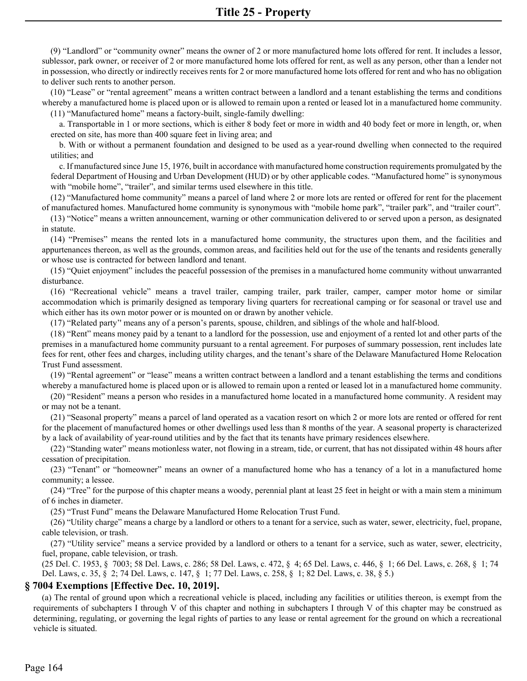(9) "Landlord" or "community owner" means the owner of 2 or more manufactured home lots offered for rent. It includes a lessor, sublessor, park owner, or receiver of 2 or more manufactured home lots offered for rent, as well as any person, other than a lender not in possession, who directly or indirectly receives rents for 2 or more manufactured home lots offered for rent and who has no obligation to deliver such rents to another person.

 (10) "Lease" or "rental agreement" means a written contract between a landlord and a tenant establishing the terms and conditions whereby a manufactured home is placed upon or is allowed to remain upon a rented or leased lot in a manufactured home community. (11) "Manufactured home" means a factory-built, single-family dwelling:

 a. Transportable in 1 or more sections, which is either 8 body feet or more in width and 40 body feet or more in length, or, when erected on site, has more than 400 square feet in living area; and

 b. With or without a permanent foundation and designed to be used as a year-round dwelling when connected to the required utilities; and

 c. If manufactured since June 15, 1976, built in accordance with manufactured home construction requirements promulgated by the federal Department of Housing and Urban Development (HUD) or by other applicable codes. "Manufactured home" is synonymous with "mobile home", "trailer", and similar terms used elsewhere in this title.

 (12) "Manufactured home community" means a parcel of land where 2 or more lots are rented or offered for rent for the placement of manufactured homes. Manufactured home community is synonymous with "mobile home park", "trailer park", and "trailer court".

 (13) "Notice" means a written announcement, warning or other communication delivered to or served upon a person, as designated in statute.

 (14) "Premises" means the rented lots in a manufactured home community, the structures upon them, and the facilities and appurtenances thereon, as well as the grounds, common areas, and facilities held out for the use of the tenants and residents generally or whose use is contracted for between landlord and tenant.

 (15) "Quiet enjoyment" includes the peaceful possession of the premises in a manufactured home community without unwarranted disturbance.

 (16) "Recreational vehicle" means a travel trailer, camping trailer, park trailer, camper, camper motor home or similar accommodation which is primarily designed as temporary living quarters for recreational camping or for seasonal or travel use and which either has its own motor power or is mounted on or drawn by another vehicle.

(17) "Related party'' means any of a person's parents, spouse, children, and siblings of the whole and half-blood.

 (18) "Rent" means money paid by a tenant to a landlord for the possession, use and enjoyment of a rented lot and other parts of the premises in a manufactured home community pursuant to a rental agreement. For purposes of summary possession, rent includes late fees for rent, other fees and charges, including utility charges, and the tenant's share of the Delaware Manufactured Home Relocation Trust Fund assessment.

 (19) "Rental agreement" or "lease" means a written contract between a landlord and a tenant establishing the terms and conditions whereby a manufactured home is placed upon or is allowed to remain upon a rented or leased lot in a manufactured home community.

 (20) "Resident" means a person who resides in a manufactured home located in a manufactured home community. A resident may or may not be a tenant.

 (21) "Seasonal property" means a parcel of land operated as a vacation resort on which 2 or more lots are rented or offered for rent for the placement of manufactured homes or other dwellings used less than 8 months of the year. A seasonal property is characterized by a lack of availability of year-round utilities and by the fact that its tenants have primary residences elsewhere.

 (22) "Standing water" means motionless water, not flowing in a stream, tide, or current, that has not dissipated within 48 hours after cessation of precipitation.

 (23) "Tenant" or "homeowner" means an owner of a manufactured home who has a tenancy of a lot in a manufactured home community; a lessee.

 (24) "Tree" for the purpose of this chapter means a woody, perennial plant at least 25 feet in height or with a main stem a minimum of 6 inches in diameter.

(25) "Trust Fund" means the Delaware Manufactured Home Relocation Trust Fund.

 (26) "Utility charge" means a charge by a landlord or others to a tenant for a service, such as water, sewer, electricity, fuel, propane, cable television, or trash.

 (27) "Utility service" means a service provided by a landlord or others to a tenant for a service, such as water, sewer, electricity, fuel, propane, cable television, or trash.

(25 Del. C. 1953, § 7003; 58 Del. Laws, c. 286; 58 Del. Laws, c. 472, § 4; 65 Del. Laws, c. 446, § 1; 66 Del. Laws, c. 268, § 1; 74 Del. Laws, c. 35, § 2; 74 Del. Laws, c. 147, § 1; 77 Del. Laws, c. 258, § 1; 82 Del. Laws, c. 38, § 5.)

## **§ 7004 Exemptions [Effective Dec. 10, 2019].**

 (a) The rental of ground upon which a recreational vehicle is placed, including any facilities or utilities thereon, is exempt from the requirements of subchapters I through V of this chapter and nothing in subchapters I through V of this chapter may be construed as determining, regulating, or governing the legal rights of parties to any lease or rental agreement for the ground on which a recreational vehicle is situated.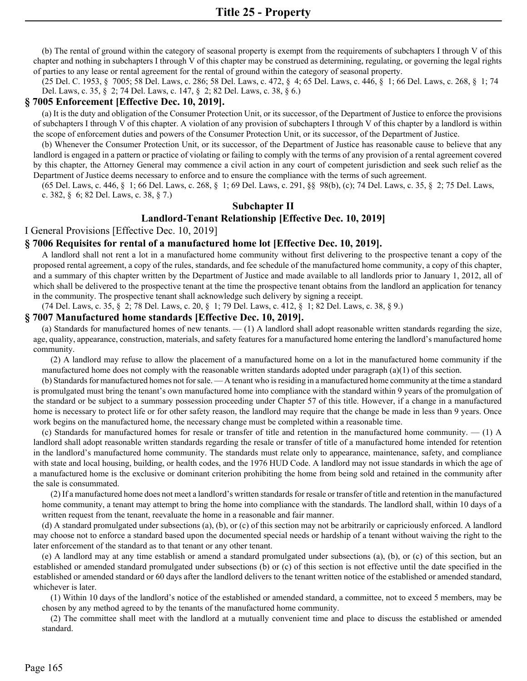(b) The rental of ground within the category of seasonal property is exempt from the requirements of subchapters I through V of this chapter and nothing in subchapters I through V of this chapter may be construed as determining, regulating, or governing the legal rights of parties to any lease or rental agreement for the rental of ground within the category of seasonal property.

(25 Del. C. 1953, § 7005; 58 Del. Laws, c. 286; 58 Del. Laws, c. 472, § 4; 65 Del. Laws, c. 446, § 1; 66 Del. Laws, c. 268, § 1; 74 Del. Laws, c. 35, § 2; 74 Del. Laws, c. 147, § 2; 82 Del. Laws, c. 38, § 6.)

#### **§ 7005 Enforcement [Effective Dec. 10, 2019].**

(a) It is the duty and obligation of the Consumer Protection Unit, or its successor, of the Department of Justice to enforce the provisions of subchapters I through V of this chapter. A violation of any provision of subchapters I through V of this chapter by a landlord is within the scope of enforcement duties and powers of the Consumer Protection Unit, or its successor, of the Department of Justice.

(b) Whenever the Consumer Protection Unit, or its successor, of the Department of Justice has reasonable cause to believe that any landlord is engaged in a pattern or practice of violating or failing to comply with the terms of any provision of a rental agreement covered by this chapter, the Attorney General may commence a civil action in any court of competent jurisdiction and seek such relief as the Department of Justice deems necessary to enforce and to ensure the compliance with the terms of such agreement.

(65 Del. Laws, c. 446, § 1; 66 Del. Laws, c. 268, § 1; 69 Del. Laws, c. 291, §§ 98(b), (c); 74 Del. Laws, c. 35, § 2; 75 Del. Laws, c. 382, § 6; 82 Del. Laws, c. 38, § 7.)

## **Subchapter II**

## **Landlord-Tenant Relationship [Effective Dec. 10, 2019]**

I General Provisions [Effective Dec. 10, 2019]

#### **§ 7006 Requisites for rental of a manufactured home lot [Effective Dec. 10, 2019].**

A landlord shall not rent a lot in a manufactured home community without first delivering to the prospective tenant a copy of the proposed rental agreement, a copy of the rules, standards, and fee schedule of the manufactured home community, a copy of this chapter, and a summary of this chapter written by the Department of Justice and made available to all landlords prior to January 1, 2012, all of which shall be delivered to the prospective tenant at the time the prospective tenant obtains from the landlord an application for tenancy in the community. The prospective tenant shall acknowledge such delivery by signing a receipt.

(74 Del. Laws, c. 35, § 2; 78 Del. Laws, c. 20, § 1; 79 Del. Laws, c. 412, § 1; 82 Del. Laws, c. 38, § 9.)

#### **§ 7007 Manufactured home standards [Effective Dec. 10, 2019].**

(a) Standards for manufactured homes of new tenants. — (1) A landlord shall adopt reasonable written standards regarding the size, age, quality, appearance, construction, materials, and safety features for a manufactured home entering the landlord's manufactured home community.

(2) A landlord may refuse to allow the placement of a manufactured home on a lot in the manufactured home community if the manufactured home does not comply with the reasonable written standards adopted under paragraph (a)(1) of this section.

(b) Standards for manufactured homes not for sale. — A tenant who is residing in a manufactured home community at the time a standard is promulgated must bring the tenant's own manufactured home into compliance with the standard within 9 years of the promulgation of the standard or be subject to a summary possession proceeding under Chapter 57 of this title. However, if a change in a manufactured home is necessary to protect life or for other safety reason, the landlord may require that the change be made in less than 9 years. Once work begins on the manufactured home, the necessary change must be completed within a reasonable time.

(c) Standards for manufactured homes for resale or transfer of title and retention in the manufactured home community. — (1) A landlord shall adopt reasonable written standards regarding the resale or transfer of title of a manufactured home intended for retention in the landlord's manufactured home community. The standards must relate only to appearance, maintenance, safety, and compliance with state and local housing, building, or health codes, and the 1976 HUD Code. A landlord may not issue standards in which the age of a manufactured home is the exclusive or dominant criterion prohibiting the home from being sold and retained in the community after the sale is consummated.

(2) If a manufactured home does not meet a landlord's written standards for resale or transfer of title and retention in the manufactured home community, a tenant may attempt to bring the home into compliance with the standards. The landlord shall, within 10 days of a written request from the tenant, reevaluate the home in a reasonable and fair manner.

(d) A standard promulgated under subsections (a), (b), or (c) of this section may not be arbitrarily or capriciously enforced. A landlord may choose not to enforce a standard based upon the documented special needs or hardship of a tenant without waiving the right to the later enforcement of the standard as to that tenant or any other tenant.

(e) A landlord may at any time establish or amend a standard promulgated under subsections (a), (b), or (c) of this section, but an established or amended standard promulgated under subsections (b) or (c) of this section is not effective until the date specified in the established or amended standard or 60 days after the landlord delivers to the tenant written notice of the established or amended standard, whichever is later.

(1) Within 10 days of the landlord's notice of the established or amended standard, a committee, not to exceed 5 members, may be chosen by any method agreed to by the tenants of the manufactured home community.

(2) The committee shall meet with the landlord at a mutually convenient time and place to discuss the established or amended standard.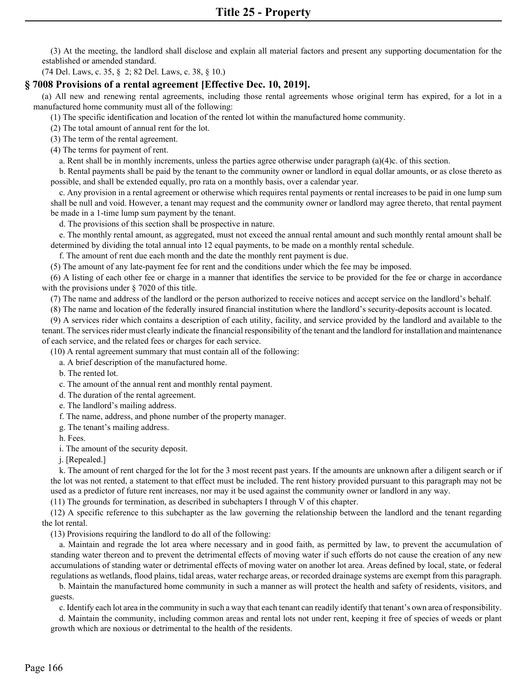(3) At the meeting, the landlord shall disclose and explain all material factors and present any supporting documentation for the established or amended standard.

(74 Del. Laws, c. 35, § 2; 82 Del. Laws, c. 38, § 10.)

## **§ 7008 Provisions of a rental agreement [Effective Dec. 10, 2019].**

 (a) All new and renewing rental agreements, including those rental agreements whose original term has expired, for a lot in a manufactured home community must all of the following:

(1) The specific identification and location of the rented lot within the manufactured home community.

(2) The total amount of annual rent for the lot.

(3) The term of the rental agreement.

(4) The terms for payment of rent.

a. Rent shall be in monthly increments, unless the parties agree otherwise under paragraph (a)(4)c. of this section.

 b. Rental payments shall be paid by the tenant to the community owner or landlord in equal dollar amounts, or as close thereto as possible, and shall be extended equally, pro rata on a monthly basis, over a calendar year.

 c. Any provision in a rental agreement or otherwise which requires rental payments or rental increases to be paid in one lump sum shall be null and void. However, a tenant may request and the community owner or landlord may agree thereto, that rental payment be made in a 1-time lump sum payment by the tenant.

d. The provisions of this section shall be prospective in nature.

 e. The monthly rental amount, as aggregated, must not exceed the annual rental amount and such monthly rental amount shall be determined by dividing the total annual into 12 equal payments, to be made on a monthly rental schedule.

f. The amount of rent due each month and the date the monthly rent payment is due.

(5) The amount of any late-payment fee for rent and the conditions under which the fee may be imposed.

 (6) A listing of each other fee or charge in a manner that identifies the service to be provided for the fee or charge in accordance with the provisions under § 7020 of this title.

(7) The name and address of the landlord or the person authorized to receive notices and accept service on the landlord's behalf.

(8) The name and location of the federally insured financial institution where the landlord's security-deposits account is located.

 (9) A services rider which contains a description of each utility, facility, and service provided by the landlord and available to the tenant. The services rider must clearly indicate the financial responsibility of the tenant and the landlord for installation and maintenance of each service, and the related fees or charges for each service.

(10) A rental agreement summary that must contain all of the following:

a. A brief description of the manufactured home.

b. The rented lot.

c. The amount of the annual rent and monthly rental payment.

d. The duration of the rental agreement.

e. The landlord's mailing address.

f. The name, address, and phone number of the property manager.

g. The tenant's mailing address.

h. Fees.

i. The amount of the security deposit.

j. [Repealed.]

 k. The amount of rent charged for the lot for the 3 most recent past years. If the amounts are unknown after a diligent search or if the lot was not rented, a statement to that effect must be included. The rent history provided pursuant to this paragraph may not be used as a predictor of future rent increases, nor may it be used against the community owner or landlord in any way.

(11) The grounds for termination, as described in subchapters I through V of this chapter.

 (12) A specific reference to this subchapter as the law governing the relationship between the landlord and the tenant regarding the lot rental.

(13) Provisions requiring the landlord to do all of the following:

 a. Maintain and regrade the lot area where necessary and in good faith, as permitted by law, to prevent the accumulation of standing water thereon and to prevent the detrimental effects of moving water if such efforts do not cause the creation of any new accumulations of standing water or detrimental effects of moving water on another lot area. Areas defined by local, state, or federal regulations as wetlands, flood plains, tidal areas, water recharge areas, or recorded drainage systems are exempt from this paragraph.

 b. Maintain the manufactured home community in such a manner as will protect the health and safety of residents, visitors, and guests.

c. Identify each lot area in the community in such a way that each tenant can readily identify that tenant's own area of responsibility.

 d. Maintain the community, including common areas and rental lots not under rent, keeping it free of species of weeds or plant growth which are noxious or detrimental to the health of the residents.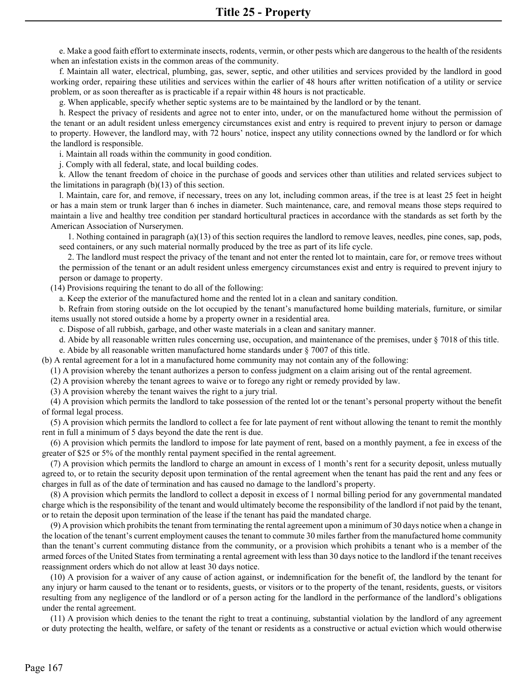e. Make a good faith effort to exterminate insects, rodents, vermin, or other pests which are dangerous to the health of the residents when an infestation exists in the common areas of the community.

 working order, repairing these utilities and services within the earlier of 48 hours after written notification of a utility or service f. Maintain all water, electrical, plumbing, gas, sewer, septic, and other utilities and services provided by the landlord in good problem, or as soon thereafter as is practicable if a repair within 48 hours is not practicable.

g. When applicable, specify whether septic systems are to be maintained by the landlord or by the tenant.

 h. Respect the privacy of residents and agree not to enter into, under, or on the manufactured home without the permission of the tenant or an adult resident unless emergency circumstances exist and entry is required to prevent injury to person or damage to property. However, the landlord may, with 72 hours' notice, inspect any utility connections owned by the landlord or for which the landlord is responsible.

i. Maintain all roads within the community in good condition.

j. Comply with all federal, state, and local building codes.

 k. Allow the tenant freedom of choice in the purchase of goods and services other than utilities and related services subject to the limitations in paragraph  $(b)(13)$  of this section.

 l. Maintain, care for, and remove, if necessary, trees on any lot, including common areas, if the tree is at least 25 feet in height or has a main stem or trunk larger than 6 inches in diameter. Such maintenance, care, and removal means those steps required to maintain a live and healthy tree condition per standard horticultural practices in accordance with the standards as set forth by the American Association of Nurserymen.

 1. Nothing contained in paragraph (a)(13) of this section requires the landlord to remove leaves, needles, pine cones, sap, pods, seed containers, or any such material normally produced by the tree as part of its life cycle.

 2. The landlord must respect the privacy of the tenant and not enter the rented lot to maintain, care for, or remove trees without the permission of the tenant or an adult resident unless emergency circumstances exist and entry is required to prevent injury to person or damage to property.

(14) Provisions requiring the tenant to do all of the following:

a. Keep the exterior of the manufactured home and the rented lot in a clean and sanitary condition.

 b. Refrain from storing outside on the lot occupied by the tenant's manufactured home building materials, furniture, or similar items usually not stored outside a home by a property owner in a residential area.

c. Dispose of all rubbish, garbage, and other waste materials in a clean and sanitary manner.

d. Abide by all reasonable written rules concerning use, occupation, and maintenance of the premises, under § 7018 of this title. e. Abide by all reasonable written manufactured home standards under § 7007 of this title.

(b) A rental agreement for a lot in a manufactured home community may not contain any of the following:

(1) A provision whereby the tenant authorizes a person to confess judgment on a claim arising out of the rental agreement.

(2) A provision whereby the tenant agrees to waive or to forego any right or remedy provided by law.

(3) A provision whereby the tenant waives the right to a jury trial.

 (4) A provision which permits the landlord to take possession of the rented lot or the tenant's personal property without the benefit of formal legal process.

 (5) A provision which permits the landlord to collect a fee for late payment of rent without allowing the tenant to remit the monthly rent in full a minimum of 5 days beyond the date the rent is due.

 (6) A provision which permits the landlord to impose for late payment of rent, based on a monthly payment, a fee in excess of the greater of \$25 or 5% of the monthly rental payment specified in the rental agreement.

 (7) A provision which permits the landlord to charge an amount in excess of 1 month's rent for a security deposit, unless mutually agreed to, or to retain the security deposit upon termination of the rental agreement when the tenant has paid the rent and any fees or charges in full as of the date of termination and has caused no damage to the landlord's property.

 (8) A provision which permits the landlord to collect a deposit in excess of 1 normal billing period for any governmental mandated charge which is the responsibility of the tenant and would ultimately become the responsibility of the landlord if not paid by the tenant, or to retain the deposit upon termination of the lease if the tenant has paid the mandated charge.

 (9) A provision which prohibits the tenant from terminating the rental agreement upon a minimum of 30 days notice when a change in the location of the tenant's current employment causes the tenant to commute 30 miles farther from the manufactured home community than the tenant's current commuting distance from the community, or a provision which prohibits a tenant who is a member of the armed forces of the United States from terminating a rental agreement with less than 30 days notice to the landlord if the tenant receives reassignment orders which do not allow at least 30 days notice.

 (10) A provision for a waiver of any cause of action against, or indemnification for the benefit of, the landlord by the tenant for any injury or harm caused to the tenant or to residents, guests, or visitors or to the property of the tenant, residents, guests, or visitors resulting from any negligence of the landlord or of a person acting for the landlord in the performance of the landlord's obligations under the rental agreement.

 (11) A provision which denies to the tenant the right to treat a continuing, substantial violation by the landlord of any agreement or duty protecting the health, welfare, or safety of the tenant or residents as a constructive or actual eviction which would otherwise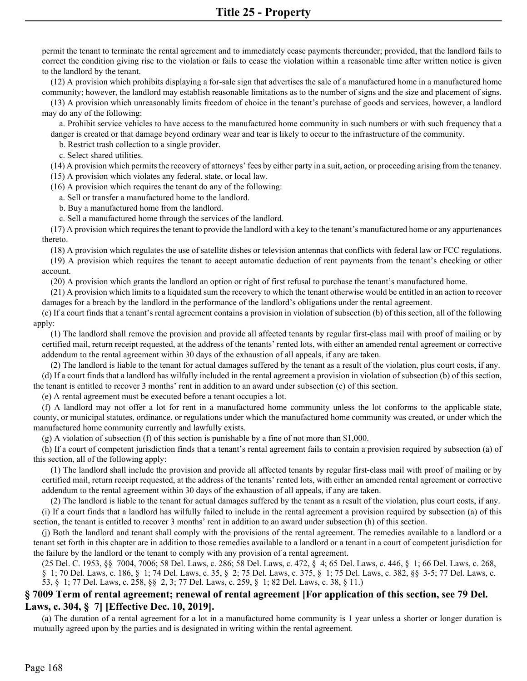permit the tenant to terminate the rental agreement and to immediately cease payments thereunder; provided, that the landlord fails to correct the condition giving rise to the violation or fails to cease the violation within a reasonable time after written notice is given to the landlord by the tenant.

 (12) A provision which prohibits displaying a for-sale sign that advertises the sale of a manufactured home in a manufactured home community; however, the landlord may establish reasonable limitations as to the number of signs and the size and placement of signs.

 (13) A provision which unreasonably limits freedom of choice in the tenant's purchase of goods and services, however, a landlord may do any of the following:

 a. Prohibit service vehicles to have access to the manufactured home community in such numbers or with such frequency that a danger is created or that damage beyond ordinary wear and tear is likely to occur to the infrastructure of the community.

b. Restrict trash collection to a single provider.

c. Select shared utilities.

(14) A provision which permits the recovery of attorneys' fees by either party in a suit, action, or proceeding arising from the tenancy.

(15) A provision which violates any federal, state, or local law.

(16) A provision which requires the tenant do any of the following:

a. Sell or transfer a manufactured home to the landlord.

b. Buy a manufactured home from the landlord.

c. Sell a manufactured home through the services of the landlord.

 (17) A provision which requires the tenant to provide the landlord with a key to the tenant's manufactured home or any appurtenances thereto.

(18) A provision which regulates the use of satellite dishes or television antennas that conflicts with federal law or FCC regulations.

 (19) A provision which requires the tenant to accept automatic deduction of rent payments from the tenant's checking or other account.

(20) A provision which grants the landlord an option or right of first refusal to purchase the tenant's manufactured home.

 (21) A provision which limits to a liquidated sum the recovery to which the tenant otherwise would be entitled in an action to recover damages for a breach by the landlord in the performance of the landlord's obligations under the rental agreement.

 (c) If a court finds that a tenant's rental agreement contains a provision in violation of subsection (b) of this section, all of the following apply:

 (1) The landlord shall remove the provision and provide all affected tenants by regular first-class mail with proof of mailing or by certified mail, return receipt requested, at the address of the tenants' rented lots, with either an amended rental agreement or corrective addendum to the rental agreement within 30 days of the exhaustion of all appeals, if any are taken.

 (d) If a court finds that a landlord has wilfully included in the rental agreement a provision in violation of subsection (b) of this section, (2) The landlord is liable to the tenant for actual damages suffered by the tenant as a result of the violation, plus court costs, if any. the tenant is entitled to recover 3 months' rent in addition to an award under subsection (c) of this section.

(e) A rental agreement must be executed before a tenant occupies a lot.

 (f) A landlord may not offer a lot for rent in a manufactured home community unless the lot conforms to the applicable state, county, or municipal statutes, ordinance, or regulations under which the manufactured home community was created, or under which the manufactured home community currently and lawfully exists.

(g) A violation of subsection (f) of this section is punishable by a fine of not more than \$1,000.

 (h) If a court of competent jurisdiction finds that a tenant's rental agreement fails to contain a provision required by subsection (a) of this section, all of the following apply:

 (1) The landlord shall include the provision and provide all affected tenants by regular first-class mail with proof of mailing or by certified mail, return receipt requested, at the address of the tenants' rented lots, with either an amended rental agreement or corrective addendum to the rental agreement within 30 days of the exhaustion of all appeals, if any are taken.

 (i) If a court finds that a landlord has wilfully failed to include in the rental agreement a provision required by subsection (a) of this (2) The landlord is liable to the tenant for actual damages suffered by the tenant as a result of the violation, plus court costs, if any. section, the tenant is entitled to recover 3 months' rent in addition to an award under subsection (h) of this section.

 (j) Both the landlord and tenant shall comply with the provisions of the rental agreement. The remedies available to a landlord or a tenant set forth in this chapter are in addition to those remedies available to a landlord or a tenant in a court of competent jurisdiction for the failure by the landlord or the tenant to comply with any provision of a rental agreement.

(25 Del. C. 1953, §§ 7004, 7006; 58 Del. Laws, c. 286; 58 Del. Laws, c. 472, § 4; 65 Del. Laws, c. 446, § 1; 66 Del. Laws, c. 268, § 1; 70 Del. Laws, c. 186, § 1; 74 Del. Laws, c. 35, § 2; 75 Del. Laws, c. 375, § 1; 75 Del. Laws, c. 382, §§ 3-5; 77 Del. Laws, c. 53, § 1; 77 Del. Laws, c. 258, §§ 2, 3; 77 Del. Laws, c. 259, § 1; 82 Del. Laws, c. 38, § 11.)

# **§ 7009 Term of rental agreement; renewal of rental agreement [For application of this section, see 79 Del. Laws, c. 304, § 7] [Effective Dec. 10, 2019].**

 (a) The duration of a rental agreement for a lot in a manufactured home community is 1 year unless a shorter or longer duration is mutually agreed upon by the parties and is designated in writing within the rental agreement.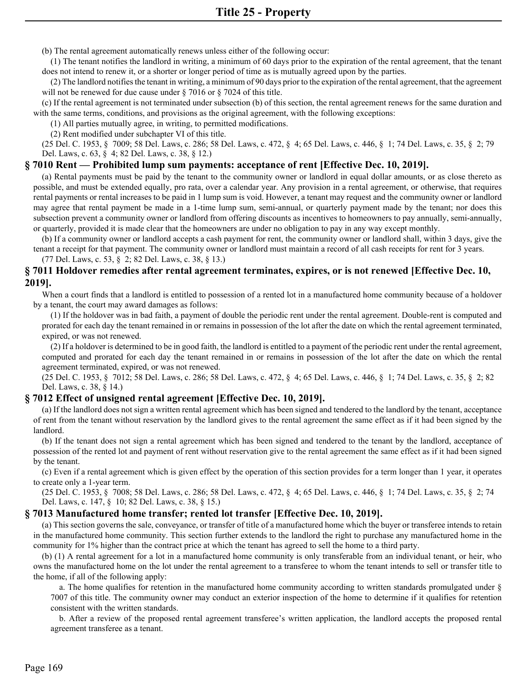(b) The rental agreement automatically renews unless either of the following occur:

 (1) The tenant notifies the landlord in writing, a minimum of 60 days prior to the expiration of the rental agreement, that the tenant does not intend to renew it, or a shorter or longer period of time as is mutually agreed upon by the parties.

 (2) The landlord notifies the tenant in writing, a minimum of 90 days prior to the expiration of the rental agreement, that the agreement will not be renewed for due cause under § 7016 or § 7024 of this title.

 (c) If the rental agreement is not terminated under subsection (b) of this section, the rental agreement renews for the same duration and with the same terms, conditions, and provisions as the original agreement, with the following exceptions:

(1) All parties mutually agree, in writing, to permitted modifications.

(2) Rent modified under subchapter VI of this title.

(25 Del. C. 1953, § 7009; 58 Del. Laws, c. 286; 58 Del. Laws, c. 472, § 4; 65 Del. Laws, c. 446, § 1; 74 Del. Laws, c. 35, § 2; 79 Del. Laws, c. 63, § 4; 82 Del. Laws, c. 38, § 12.)

## **§ 7010 Rent — Prohibited lump sum payments: acceptance of rent [Effective Dec. 10, 2019].**

 (a) Rental payments must be paid by the tenant to the community owner or landlord in equal dollar amounts, or as close thereto as possible, and must be extended equally, pro rata, over a calendar year. Any provision in a rental agreement, or otherwise, that requires rental payments or rental increases to be paid in 1 lump sum is void. However, a tenant may request and the community owner or landlord may agree that rental payment be made in a 1-time lump sum, semi-annual, or quarterly payment made by the tenant; nor does this subsection prevent a community owner or landlord from offering discounts as incentives to homeowners to pay annually, semi-annually, or quarterly, provided it is made clear that the homeowners are under no obligation to pay in any way except monthly.

 (b) If a community owner or landlord accepts a cash payment for rent, the community owner or landlord shall, within 3 days, give the tenant a receipt for that payment. The community owner or landlord must maintain a record of all cash receipts for rent for 3 years. (77 Del. Laws, c. 53, § 2; 82 Del. Laws, c. 38, § 13.)

## **§ 7011 Holdover remedies after rental agreement terminates, expires, or is not renewed [Effective Dec. 10, 2019].**

 When a court finds that a landlord is entitled to possession of a rented lot in a manufactured home community because of a holdover by a tenant, the court may award damages as follows:

 (1) If the holdover was in bad faith, a payment of double the periodic rent under the rental agreement. Double-rent is computed and prorated for each day the tenant remained in or remains in possession of the lot after the date on which the rental agreement terminated, expired, or was not renewed.

 (2) If a holdover is determined to be in good faith, the landlord is entitled to a payment of the periodic rent under the rental agreement, computed and prorated for each day the tenant remained in or remains in possession of the lot after the date on which the rental agreement terminated, expired, or was not renewed.

(25 Del. C. 1953, § 7012; 58 Del. Laws, c. 286; 58 Del. Laws, c. 472, § 4; 65 Del. Laws, c. 446, § 1; 74 Del. Laws, c. 35, § 2; 82 Del. Laws, c. 38, § 14.)

## **§ 7012 Effect of unsigned rental agreement [Effective Dec. 10, 2019].**

 (a) If the landlord does not sign a written rental agreement which has been signed and tendered to the landlord by the tenant, acceptance of rent from the tenant without reservation by the landlord gives to the rental agreement the same effect as if it had been signed by the landlord.

 (b) If the tenant does not sign a rental agreement which has been signed and tendered to the tenant by the landlord, acceptance of possession of the rented lot and payment of rent without reservation give to the rental agreement the same effect as if it had been signed by the tenant.

 (c) Even if a rental agreement which is given effect by the operation of this section provides for a term longer than 1 year, it operates to create only a 1-year term.

(25 Del. C. 1953, § 7008; 58 Del. Laws, c. 286; 58 Del. Laws, c. 472, § 4; 65 Del. Laws, c. 446, § 1; 74 Del. Laws, c. 35, § 2; 74 Del. Laws, c. 147, § 10; 82 Del. Laws, c. 38, § 15.)

## **§ 7013 Manufactured home transfer; rented lot transfer [Effective Dec. 10, 2019].**

 (a) This section governs the sale, conveyance, or transfer of title of a manufactured home which the buyer or transferee intends to retain in the manufactured home community. This section further extends to the landlord the right to purchase any manufactured home in the community for 1% higher than the contract price at which the tenant has agreed to sell the home to a third party.

 (b) (1) A rental agreement for a lot in a manufactured home community is only transferable from an individual tenant, or heir, who owns the manufactured home on the lot under the rental agreement to a transferee to whom the tenant intends to sell or transfer title to the home, if all of the following apply:

 a. The home qualifies for retention in the manufactured home community according to written standards promulgated under § 7007 of this title. The community owner may conduct an exterior inspection of the home to determine if it qualifies for retention consistent with the written standards.

 b. After a review of the proposed rental agreement transferee's written application, the landlord accepts the proposed rental agreement transferee as a tenant.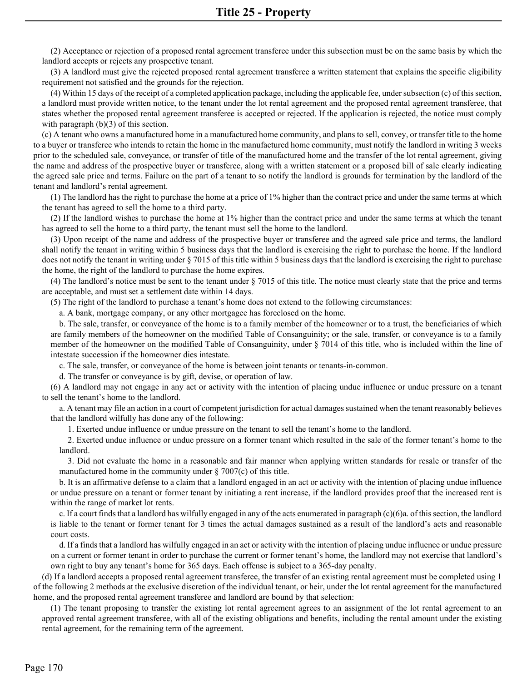(2) Acceptance or rejection of a proposed rental agreement transferee under this subsection must be on the same basis by which the landlord accepts or rejects any prospective tenant.

(3) A landlord must give the rejected proposed rental agreement transferee a written statement that explains the specific eligibility requirement not satisfied and the grounds for the rejection.

(4) Within 15 days of the receipt of a completed application package, including the applicable fee, under subsection (c) of this section, a landlord must provide written notice, to the tenant under the lot rental agreement and the proposed rental agreement transferee, that states whether the proposed rental agreement transferee is accepted or rejected. If the application is rejected, the notice must comply with paragraph (b)(3) of this section.

(c) A tenant who owns a manufactured home in a manufactured home community, and plans to sell, convey, or transfer title to the home to a buyer or transferee who intends to retain the home in the manufactured home community, must notify the landlord in writing 3 weeks prior to the scheduled sale, conveyance, or transfer of title of the manufactured home and the transfer of the lot rental agreement, giving the name and address of the prospective buyer or transferee, along with a written statement or a proposed bill of sale clearly indicating the agreed sale price and terms. Failure on the part of a tenant to so notify the landlord is grounds for termination by the landlord of the tenant and landlord's rental agreement.

(1) The landlord has the right to purchase the home at a price of 1% higher than the contract price and under the same terms at which the tenant has agreed to sell the home to a third party.

(2) If the landlord wishes to purchase the home at 1% higher than the contract price and under the same terms at which the tenant has agreed to sell the home to a third party, the tenant must sell the home to the landlord.

(3) Upon receipt of the name and address of the prospective buyer or transferee and the agreed sale price and terms, the landlord shall notify the tenant in writing within 5 business days that the landlord is exercising the right to purchase the home. If the landlord does not notify the tenant in writing under § 7015 of this title within 5 business days that the landlord is exercising the right to purchase the home, the right of the landlord to purchase the home expires.

(4) The landlord's notice must be sent to the tenant under § 7015 of this title. The notice must clearly state that the price and terms are acceptable, and must set a settlement date within 14 days.

(5) The right of the landlord to purchase a tenant's home does not extend to the following circumstances:

a. A bank, mortgage company, or any other mortgagee has foreclosed on the home.

b. The sale, transfer, or conveyance of the home is to a family member of the homeowner or to a trust, the beneficiaries of which are family members of the homeowner on the modified Table of Consanguinity; or the sale, transfer, or conveyance is to a family member of the homeowner on the modified Table of Consanguinity, under § 7014 of this title, who is included within the line of intestate succession if the homeowner dies intestate.

c. The sale, transfer, or conveyance of the home is between joint tenants or tenants-in-common.

d. The transfer or conveyance is by gift, devise, or operation of law.

(6) A landlord may not engage in any act or activity with the intention of placing undue influence or undue pressure on a tenant to sell the tenant's home to the landlord.

a. A tenant may file an action in a court of competent jurisdiction for actual damages sustained when the tenant reasonably believes that the landlord wilfully has done any of the following:

1. Exerted undue influence or undue pressure on the tenant to sell the tenant's home to the landlord.

2. Exerted undue influence or undue pressure on a former tenant which resulted in the sale of the former tenant's home to the landlord.

3. Did not evaluate the home in a reasonable and fair manner when applying written standards for resale or transfer of the manufactured home in the community under  $\S$  7007(c) of this title.

b. It is an affirmative defense to a claim that a landlord engaged in an act or activity with the intention of placing undue influence or undue pressure on a tenant or former tenant by initiating a rent increase, if the landlord provides proof that the increased rent is within the range of market lot rents.

c. If a court finds that a landlord has wilfully engaged in any of the acts enumerated in paragraph  $(c)(6)$ a. of this section, the landlord is liable to the tenant or former tenant for 3 times the actual damages sustained as a result of the landlord's acts and reasonable court costs.

d. If a finds that a landlord has wilfully engaged in an act or activity with the intention of placing undue influence or undue pressure on a current or former tenant in order to purchase the current or former tenant's home, the landlord may not exercise that landlord's own right to buy any tenant's home for 365 days. Each offense is subject to a 365-day penalty.

(d) If a landlord accepts a proposed rental agreement transferee, the transfer of an existing rental agreement must be completed using 1 of the following 2 methods at the exclusive discretion of the individual tenant, or heir, under the lot rental agreement for the manufactured home, and the proposed rental agreement transferee and landlord are bound by that selection:

(1) The tenant proposing to transfer the existing lot rental agreement agrees to an assignment of the lot rental agreement to an approved rental agreement transferee, with all of the existing obligations and benefits, including the rental amount under the existing rental agreement, for the remaining term of the agreement.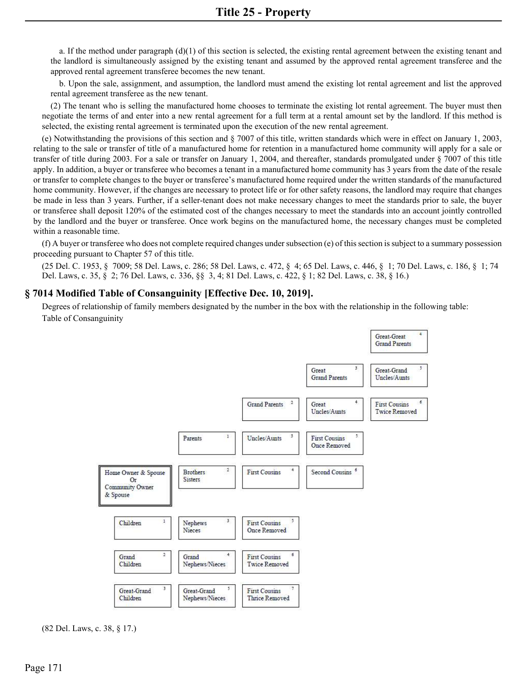a. If the method under paragraph  $(d)(1)$  of this section is selected, the existing rental agreement between the existing tenant and the landlord is simultaneously assigned by the existing tenant and assumed by the approved rental agreement transferee and the approved rental agreement transferee becomes the new tenant.

b. Upon the sale, assignment, and assumption, the landlord must amend the existing lot rental agreement and list the approved rental agreement transferee as the new tenant.

(2) The tenant who is selling the manufactured home chooses to terminate the existing lot rental agreement. The buyer must then negotiate the terms of and enter into a new rental agreement for a full term at a rental amount set by the landlord. If this method is selected, the existing rental agreement is terminated upon the execution of the new rental agreement.

(e) Notwithstanding the provisions of this section and § 7007 of this title, written standards which were in effect on January 1, 2003, relating to the sale or transfer of title of a manufactured home for retention in a manufactured home community will apply for a sale or transfer of title during 2003. For a sale or transfer on January 1, 2004, and thereafter, standards promulgated under § 7007 of this title apply. In addition, a buyer or transferee who becomes a tenant in a manufactured home community has 3 years from the date of the resale or transfer to complete changes to the buyer or transferee's manufactured home required under the written standards of the manufactured home community. However, if the changes are necessary to protect life or for other safety reasons, the landlord may require that changes be made in less than 3 years. Further, if a seller-tenant does not make necessary changes to meet the standards prior to sale, the buyer or transferee shall deposit 120% of the estimated cost of the changes necessary to meet the standards into an account jointly controlled by the landlord and the buyer or transferee. Once work begins on the manufactured home, the necessary changes must be completed within a reasonable time.

(f) A buyer or transferee who does not complete required changes under subsection (e) of this section is subject to a summary possession proceeding pursuant to Chapter 57 of this title.

(25 Del. C. 1953, § 7009; 58 Del. Laws, c. 286; 58 Del. Laws, c. 472, § 4; 65 Del. Laws, c. 446, § 1; 70 Del. Laws, c. 186, § 1; 74 Del. Laws, c. 35, § 2; 76 Del. Laws, c. 336, §§ 3, 4; 81 Del. Laws, c. 422, § 1; 82 Del. Laws, c. 38, § 16.)

#### **§ 7014 Modified Table of Consanguinity [Effective Dec. 10, 2019].**

Degrees of relationship of family members designated by the number in the box with the relationship in the following table: Table of Consanguinity



(82 Del. Laws, c. 38, § 17.)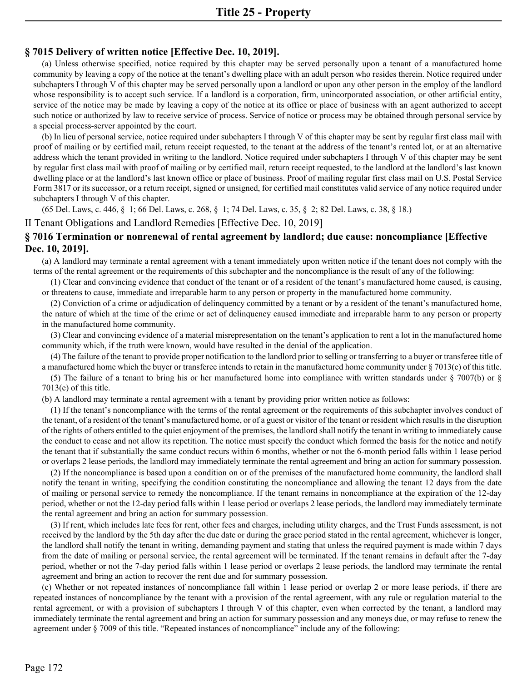## **§ 7015 Delivery of written notice [Effective Dec. 10, 2019].**

(a) Unless otherwise specified, notice required by this chapter may be served personally upon a tenant of a manufactured home community by leaving a copy of the notice at the tenant's dwelling place with an adult person who resides therein. Notice required under subchapters I through V of this chapter may be served personally upon a landlord or upon any other person in the employ of the landlord whose responsibility is to accept such service. If a landlord is a corporation, firm, unincorporated association, or other artificial entity, service of the notice may be made by leaving a copy of the notice at its office or place of business with an agent authorized to accept such notice or authorized by law to receive service of process. Service of notice or process may be obtained through personal service by a special process-server appointed by the court.

(b) In lieu of personal service, notice required under subchapters I through V of this chapter may be sent by regular first class mail with proof of mailing or by certified mail, return receipt requested, to the tenant at the address of the tenant's rented lot, or at an alternative address which the tenant provided in writing to the landlord. Notice required under subchapters I through V of this chapter may be sent by regular first class mail with proof of mailing or by certified mail, return receipt requested, to the landlord at the landlord's last known dwelling place or at the landlord's last known office or place of business. Proof of mailing regular first class mail on U.S. Postal Service Form 3817 or its successor, or a return receipt, signed or unsigned, for certified mail constitutes valid service of any notice required under subchapters I through V of this chapter.

(65 Del. Laws, c. 446, § 1; 66 Del. Laws, c. 268, § 1; 74 Del. Laws, c. 35, § 2; 82 Del. Laws, c. 38, § 18.)

II Tenant Obligations and Landlord Remedies [Effective Dec. 10, 2019]

# **§ 7016 Termination or nonrenewal of rental agreement by landlord; due cause: noncompliance [Effective Dec. 10, 2019].**

(a) A landlord may terminate a rental agreement with a tenant immediately upon written notice if the tenant does not comply with the terms of the rental agreement or the requirements of this subchapter and the noncompliance is the result of any of the following:

(1) Clear and convincing evidence that conduct of the tenant or of a resident of the tenant's manufactured home caused, is causing, or threatens to cause, immediate and irreparable harm to any person or property in the manufactured home community.

(2) Conviction of a crime or adjudication of delinquency committed by a tenant or by a resident of the tenant's manufactured home, the nature of which at the time of the crime or act of delinquency caused immediate and irreparable harm to any person or property in the manufactured home community.

(3) Clear and convincing evidence of a material misrepresentation on the tenant's application to rent a lot in the manufactured home community which, if the truth were known, would have resulted in the denial of the application.

(4) The failure of the tenant to provide proper notification to the landlord prior to selling or transferring to a buyer or transferee title of a manufactured home which the buyer or transferee intends to retain in the manufactured home community under § 7013(c) of this title.

(5) The failure of a tenant to bring his or her manufactured home into compliance with written standards under § 7007(b) or § 7013(e) of this title.

(b) A landlord may terminate a rental agreement with a tenant by providing prior written notice as follows:

(1) If the tenant's noncompliance with the terms of the rental agreement or the requirements of this subchapter involves conduct of the tenant, of a resident of the tenant's manufactured home, or of a guest or visitor of the tenant or resident which results in the disruption of the rights of others entitled to the quiet enjoyment of the premises, the landlord shall notify the tenant in writing to immediately cause the conduct to cease and not allow its repetition. The notice must specify the conduct which formed the basis for the notice and notify the tenant that if substantially the same conduct recurs within 6 months, whether or not the 6-month period falls within 1 lease period or overlaps 2 lease periods, the landlord may immediately terminate the rental agreement and bring an action for summary possession.

(2) If the noncompliance is based upon a condition on or of the premises of the manufactured home community, the landlord shall notify the tenant in writing, specifying the condition constituting the noncompliance and allowing the tenant 12 days from the date of mailing or personal service to remedy the noncompliance. If the tenant remains in noncompliance at the expiration of the 12-day period, whether or not the 12-day period falls within 1 lease period or overlaps 2 lease periods, the landlord may immediately terminate the rental agreement and bring an action for summary possession.

(3) If rent, which includes late fees for rent, other fees and charges, including utility charges, and the Trust Funds assessment, is not received by the landlord by the 5th day after the due date or during the grace period stated in the rental agreement, whichever is longer, the landlord shall notify the tenant in writing, demanding payment and stating that unless the required payment is made within 7 days from the date of mailing or personal service, the rental agreement will be terminated. If the tenant remains in default after the 7-day period, whether or not the 7-day period falls within 1 lease period or overlaps 2 lease periods, the landlord may terminate the rental agreement and bring an action to recover the rent due and for summary possession.

(c) Whether or not repeated instances of noncompliance fall within 1 lease period or overlap 2 or more lease periods, if there are repeated instances of noncompliance by the tenant with a provision of the rental agreement, with any rule or regulation material to the rental agreement, or with a provision of subchapters I through V of this chapter, even when corrected by the tenant, a landlord may immediately terminate the rental agreement and bring an action for summary possession and any moneys due, or may refuse to renew the agreement under § 7009 of this title. "Repeated instances of noncompliance" include any of the following: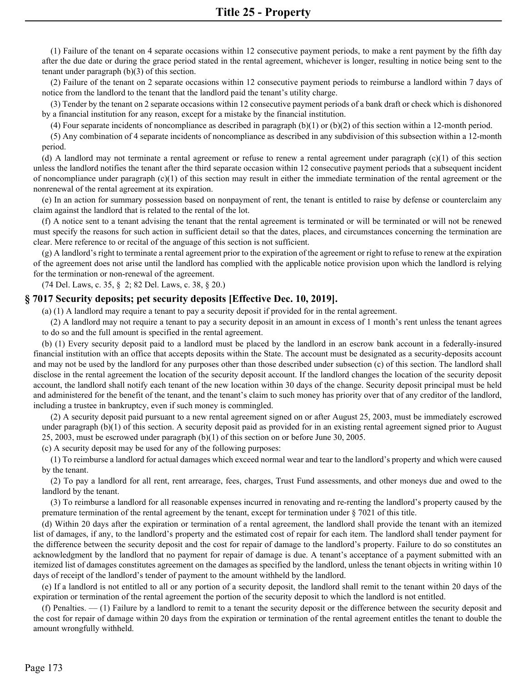(1) Failure of the tenant on 4 separate occasions within 12 consecutive payment periods, to make a rent payment by the fifth day after the due date or during the grace period stated in the rental agreement, whichever is longer, resulting in notice being sent to the tenant under paragraph (b)(3) of this section.

(2) Failure of the tenant on 2 separate occasions within 12 consecutive payment periods to reimburse a landlord within 7 days of notice from the landlord to the tenant that the landlord paid the tenant's utility charge.

(3) Tender by the tenant on 2 separate occasions within 12 consecutive payment periods of a bank draft or check which is dishonored by a financial institution for any reason, except for a mistake by the financial institution.

(4) Four separate incidents of noncompliance as described in paragraph  $(b)(1)$  or  $(b)(2)$  of this section within a 12-month period.

(5) Any combination of 4 separate incidents of noncompliance as described in any subdivision of this subsection within a 12-month period.

(d) A landlord may not terminate a rental agreement or refuse to renew a rental agreement under paragraph (c)(1) of this section unless the landlord notifies the tenant after the third separate occasion within 12 consecutive payment periods that a subsequent incident of noncompliance under paragraph  $(c)(1)$  of this section may result in either the immediate termination of the rental agreement or the nonrenewal of the rental agreement at its expiration.

(e) In an action for summary possession based on nonpayment of rent, the tenant is entitled to raise by defense or counterclaim any claim against the landlord that is related to the rental of the lot.

(f) A notice sent to a tenant advising the tenant that the rental agreement is terminated or will be terminated or will not be renewed must specify the reasons for such action in sufficient detail so that the dates, places, and circumstances concerning the termination are clear. Mere reference to or recital of the anguage of this section is not sufficient.

(g) A landlord's right to terminate a rental agreement prior to the expiration of the agreement or right to refuse to renew at the expiration of the agreement does not arise until the landlord has complied with the applicable notice provision upon which the landlord is relying for the termination or non-renewal of the agreement.

(74 Del. Laws, c. 35, § 2; 82 Del. Laws, c. 38, § 20.)

#### **§ 7017 Security deposits; pet security deposits [Effective Dec. 10, 2019].**

(a) (1) A landlord may require a tenant to pay a security deposit if provided for in the rental agreement.

(2) A landlord may not require a tenant to pay a security deposit in an amount in excess of 1 month's rent unless the tenant agrees to do so and the full amount is specified in the rental agreement.

(b) (1) Every security deposit paid to a landlord must be placed by the landlord in an escrow bank account in a federally-insured financial institution with an office that accepts deposits within the State. The account must be designated as a security-deposits account and may not be used by the landlord for any purposes other than those described under subsection (c) of this section. The landlord shall disclose in the rental agreement the location of the security deposit account. If the landlord changes the location of the security deposit account, the landlord shall notify each tenant of the new location within 30 days of the change. Security deposit principal must be held and administered for the benefit of the tenant, and the tenant's claim to such money has priority over that of any creditor of the landlord, including a trustee in bankruptcy, even if such money is commingled.

(2) A security deposit paid pursuant to a new rental agreement signed on or after August 25, 2003, must be immediately escrowed under paragraph (b)(1) of this section. A security deposit paid as provided for in an existing rental agreement signed prior to August 25, 2003, must be escrowed under paragraph (b)(1) of this section on or before June 30, 2005.

(c) A security deposit may be used for any of the following purposes:

(1) To reimburse a landlord for actual damages which exceed normal wear and tear to the landlord's property and which were caused by the tenant.

(2) To pay a landlord for all rent, rent arrearage, fees, charges, Trust Fund assessments, and other moneys due and owed to the landlord by the tenant.

(3) To reimburse a landlord for all reasonable expenses incurred in renovating and re-renting the landlord's property caused by the premature termination of the rental agreement by the tenant, except for termination under § 7021 of this title.

(d) Within 20 days after the expiration or termination of a rental agreement, the landlord shall provide the tenant with an itemized list of damages, if any, to the landlord's property and the estimated cost of repair for each item. The landlord shall tender payment for the difference between the security deposit and the cost for repair of damage to the landlord's property. Failure to do so constitutes an acknowledgment by the landlord that no payment for repair of damage is due. A tenant's acceptance of a payment submitted with an itemized list of damages constitutes agreement on the damages as specified by the landlord, unless the tenant objects in writing within 10 days of receipt of the landlord's tender of payment to the amount withheld by the landlord.

(e) If a landlord is not entitled to all or any portion of a security deposit, the landlord shall remit to the tenant within 20 days of the expiration or termination of the rental agreement the portion of the security deposit to which the landlord is not entitled.

(f) Penalties. — (1) Failure by a landlord to remit to a tenant the security deposit or the difference between the security deposit and the cost for repair of damage within 20 days from the expiration or termination of the rental agreement entitles the tenant to double the amount wrongfully withheld.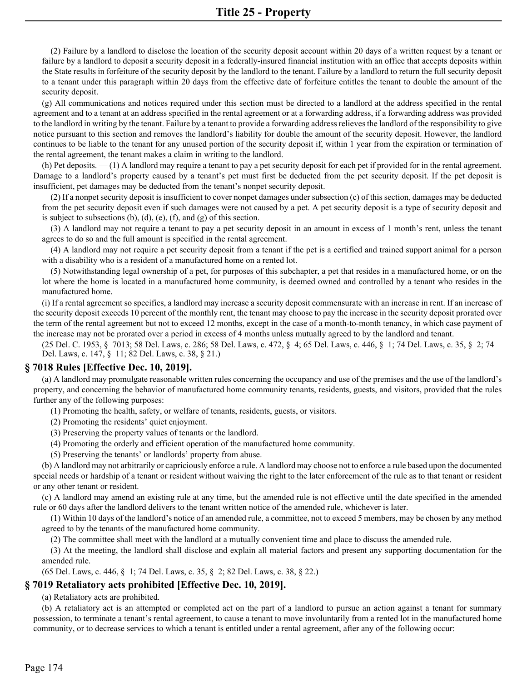(2) Failure by a landlord to disclose the location of the security deposit account within 20 days of a written request by a tenant or failure by a landlord to deposit a security deposit in a federally-insured financial institution with an office that accepts deposits within the State results in forfeiture of the security deposit by the landlord to the tenant. Failure by a landlord to return the full security deposit to a tenant under this paragraph within 20 days from the effective date of forfeiture entitles the tenant to double the amount of the security deposit.

(g) All communications and notices required under this section must be directed to a landlord at the address specified in the rental agreement and to a tenant at an address specified in the rental agreement or at a forwarding address, if a forwarding address was provided to the landlord in writing by the tenant. Failure by a tenant to provide a forwarding address relieves the landlord of the responsibility to give notice pursuant to this section and removes the landlord's liability for double the amount of the security deposit. However, the landlord continues to be liable to the tenant for any unused portion of the security deposit if, within 1 year from the expiration or termination of the rental agreement, the tenant makes a claim in writing to the landlord.

(h) Pet deposits. — (1) A landlord may require a tenant to pay a pet security deposit for each pet if provided for in the rental agreement. Damage to a landlord's property caused by a tenant's pet must first be deducted from the pet security deposit. If the pet deposit is insufficient, pet damages may be deducted from the tenant's nonpet security deposit.

(2) If a nonpet security deposit is insufficient to cover nonpet damages under subsection (c) of this section, damages may be deducted from the pet security deposit even if such damages were not caused by a pet. A pet security deposit is a type of security deposit and is subject to subsections  $(b)$ ,  $(d)$ ,  $(e)$ ,  $(f)$ , and  $(g)$  of this section.

(3) A landlord may not require a tenant to pay a pet security deposit in an amount in excess of 1 month's rent, unless the tenant agrees to do so and the full amount is specified in the rental agreement.

(4) A landlord may not require a pet security deposit from a tenant if the pet is a certified and trained support animal for a person with a disability who is a resident of a manufactured home on a rented lot.

(5) Notwithstanding legal ownership of a pet, for purposes of this subchapter, a pet that resides in a manufactured home, or on the lot where the home is located in a manufactured home community, is deemed owned and controlled by a tenant who resides in the manufactured home.

(i) If a rental agreement so specifies, a landlord may increase a security deposit commensurate with an increase in rent. If an increase of the security deposit exceeds 10 percent of the monthly rent, the tenant may choose to pay the increase in the security deposit prorated over the term of the rental agreement but not to exceed 12 months, except in the case of a month-to-month tenancy, in which case payment of the increase may not be prorated over a period in excess of 4 months unless mutually agreed to by the landlord and tenant.

(25 Del. C. 1953, § 7013; 58 Del. Laws, c. 286; 58 Del. Laws, c. 472, § 4; 65 Del. Laws, c. 446, § 1; 74 Del. Laws, c. 35, § 2; 74 Del. Laws, c. 147, § 11; 82 Del. Laws, c. 38, § 21.)

## **§ 7018 Rules [Effective Dec. 10, 2019].**

(a) A landlord may promulgate reasonable written rules concerning the occupancy and use of the premises and the use of the landlord's property, and concerning the behavior of manufactured home community tenants, residents, guests, and visitors, provided that the rules further any of the following purposes:

(1) Promoting the health, safety, or welfare of tenants, residents, guests, or visitors.

(2) Promoting the residents' quiet enjoyment.

(3) Preserving the property values of tenants or the landlord.

(4) Promoting the orderly and efficient operation of the manufactured home community.

(5) Preserving the tenants' or landlords' property from abuse.

(b) A landlord may not arbitrarily or capriciously enforce a rule. A landlord may choose not to enforce a rule based upon the documented special needs or hardship of a tenant or resident without waiving the right to the later enforcement of the rule as to that tenant or resident or any other tenant or resident.

(c) A landlord may amend an existing rule at any time, but the amended rule is not effective until the date specified in the amended rule or 60 days after the landlord delivers to the tenant written notice of the amended rule, whichever is later.

(1) Within 10 days of the landlord's notice of an amended rule, a committee, not to exceed 5 members, may be chosen by any method agreed to by the tenants of the manufactured home community.

(2) The committee shall meet with the landlord at a mutually convenient time and place to discuss the amended rule.

(3) At the meeting, the landlord shall disclose and explain all material factors and present any supporting documentation for the amended rule.

(65 Del. Laws, c. 446, § 1; 74 Del. Laws, c. 35, § 2; 82 Del. Laws, c. 38, § 22.)

## **§ 7019 Retaliatory acts prohibited [Effective Dec. 10, 2019].**

(a) Retaliatory acts are prohibited.

(b) A retaliatory act is an attempted or completed act on the part of a landlord to pursue an action against a tenant for summary possession, to terminate a tenant's rental agreement, to cause a tenant to move involuntarily from a rented lot in the manufactured home community, or to decrease services to which a tenant is entitled under a rental agreement, after any of the following occur: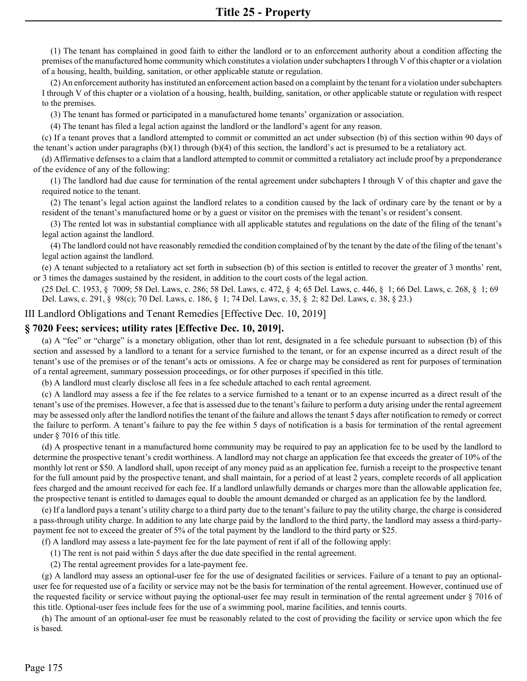(1) The tenant has complained in good faith to either the landlord or to an enforcement authority about a condition affecting the premises of the manufactured home community which constitutes a violation under subchapters I through V of this chapter or a violation of a housing, health, building, sanitation, or other applicable statute or regulation.

(2) An enforcement authority has instituted an enforcement action based on a complaint by the tenant for a violation under subchapters I through V of this chapter or a violation of a housing, health, building, sanitation, or other applicable statute or regulation with respect to the premises.

(3) The tenant has formed or participated in a manufactured home tenants' organization or association.

(4) The tenant has filed a legal action against the landlord or the landlord's agent for any reason.

(c) If a tenant proves that a landlord attempted to commit or committed an act under subsection (b) of this section within 90 days of the tenant's action under paragraphs (b)(1) through (b)(4) of this section, the landlord's act is presumed to be a retaliatory act.

(d) Affirmative defenses to a claim that a landlord attempted to commit or committed a retaliatory act include proof by a preponderance of the evidence of any of the following:

(1) The landlord had due cause for termination of the rental agreement under subchapters I through V of this chapter and gave the required notice to the tenant.

(2) The tenant's legal action against the landlord relates to a condition caused by the lack of ordinary care by the tenant or by a resident of the tenant's manufactured home or by a guest or visitor on the premises with the tenant's or resident's consent.

(3) The rented lot was in substantial compliance with all applicable statutes and regulations on the date of the filing of the tenant's legal action against the landlord.

(4) The landlord could not have reasonably remedied the condition complained of by the tenant by the date of the filing of the tenant's legal action against the landlord.

(e) A tenant subjected to a retaliatory act set forth in subsection (b) of this section is entitled to recover the greater of 3 months' rent, or 3 times the damages sustained by the resident, in addition to the court costs of the legal action.

(25 Del. C. 1953, § 7009; 58 Del. Laws, c. 286; 58 Del. Laws, c. 472, § 4; 65 Del. Laws, c. 446, § 1; 66 Del. Laws, c. 268, § 1; 69 Del. Laws, c. 291, § 98(c); 70 Del. Laws, c. 186, § 1; 74 Del. Laws, c. 35, § 2; 82 Del. Laws, c. 38, § 23.)

## III Landlord Obligations and Tenant Remedies [Effective Dec. 10, 2019]

## **§ 7020 Fees; services; utility rates [Effective Dec. 10, 2019].**

(a) A "fee" or "charge" is a monetary obligation, other than lot rent, designated in a fee schedule pursuant to subsection (b) of this section and assessed by a landlord to a tenant for a service furnished to the tenant, or for an expense incurred as a direct result of the tenant's use of the premises or of the tenant's acts or omissions. A fee or charge may be considered as rent for purposes of termination of a rental agreement, summary possession proceedings, or for other purposes if specified in this title.

(b) A landlord must clearly disclose all fees in a fee schedule attached to each rental agreement.

(c) A landlord may assess a fee if the fee relates to a service furnished to a tenant or to an expense incurred as a direct result of the tenant's use of the premises. However, a fee that is assessed due to the tenant's failure to perform a duty arising under the rental agreement may be assessed only after the landlord notifies the tenant of the failure and allows the tenant 5 days after notification to remedy or correct the failure to perform. A tenant's failure to pay the fee within 5 days of notification is a basis for termination of the rental agreement under § 7016 of this title.

(d) A prospective tenant in a manufactured home community may be required to pay an application fee to be used by the landlord to determine the prospective tenant's credit worthiness. A landlord may not charge an application fee that exceeds the greater of 10% of the monthly lot rent or \$50. A landlord shall, upon receipt of any money paid as an application fee, furnish a receipt to the prospective tenant for the full amount paid by the prospective tenant, and shall maintain, for a period of at least 2 years, complete records of all application fees charged and the amount received for each fee. If a landlord unlawfully demands or charges more than the allowable application fee, the prospective tenant is entitled to damages equal to double the amount demanded or charged as an application fee by the landlord.

(e) If a landlord pays a tenant's utility charge to a third party due to the tenant's failure to pay the utility charge, the charge is considered a pass-through utility charge. In addition to any late charge paid by the landlord to the third party, the landlord may assess a third-partypayment fee not to exceed the greater of 5% of the total payment by the landlord to the third party or \$25.

(f) A landlord may assess a late-payment fee for the late payment of rent if all of the following apply:

(1) The rent is not paid within 5 days after the due date specified in the rental agreement.

(2) The rental agreement provides for a late-payment fee.

(g) A landlord may assess an optional-user fee for the use of designated facilities or services. Failure of a tenant to pay an optionaluser fee for requested use of a facility or service may not be the basis for termination of the rental agreement. However, continued use of the requested facility or service without paying the optional-user fee may result in termination of the rental agreement under § 7016 of this title. Optional-user fees include fees for the use of a swimming pool, marine facilities, and tennis courts.

(h) The amount of an optional-user fee must be reasonably related to the cost of providing the facility or service upon which the fee is based.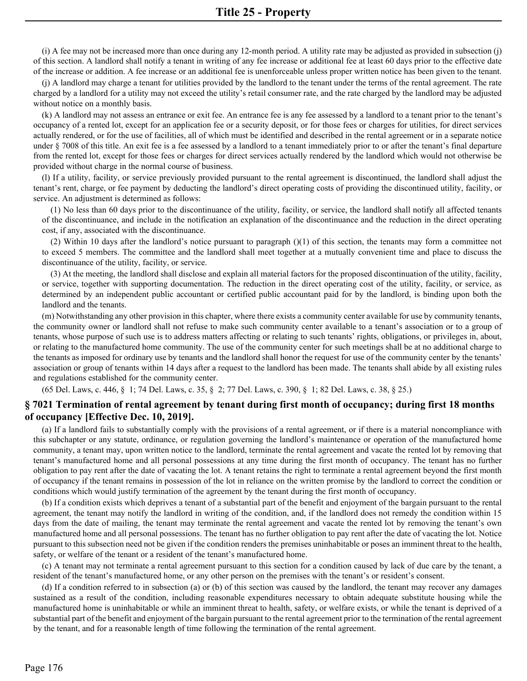(i) A fee may not be increased more than once during any 12-month period. A utility rate may be adjusted as provided in subsection (j) of this section. A landlord shall notify a tenant in writing of any fee increase or additional fee at least 60 days prior to the effective date of the increase or addition. A fee increase or an additional fee is unenforceable unless proper written notice has been given to the tenant.

(j) A landlord may charge a tenant for utilities provided by the landlord to the tenant under the terms of the rental agreement. The rate charged by a landlord for a utility may not exceed the utility's retail consumer rate, and the rate charged by the landlord may be adjusted without notice on a monthly basis.

(k) A landlord may not assess an entrance or exit fee. An entrance fee is any fee assessed by a landlord to a tenant prior to the tenant's occupancy of a rented lot, except for an application fee or a security deposit, or for those fees or charges for utilities, for direct services actually rendered, or for the use of facilities, all of which must be identified and described in the rental agreement or in a separate notice under § 7008 of this title. An exit fee is a fee assessed by a landlord to a tenant immediately prior to or after the tenant's final departure from the rented lot, except for those fees or charges for direct services actually rendered by the landlord which would not otherwise be provided without charge in the normal course of business.

(l) If a utility, facility, or service previously provided pursuant to the rental agreement is discontinued, the landlord shall adjust the tenant's rent, charge, or fee payment by deducting the landlord's direct operating costs of providing the discontinued utility, facility, or service. An adjustment is determined as follows:

(1) No less than 60 days prior to the discontinuance of the utility, facility, or service, the landlord shall notify all affected tenants of the discontinuance, and include in the notification an explanation of the discontinuance and the reduction in the direct operating cost, if any, associated with the discontinuance.

(2) Within 10 days after the landlord's notice pursuant to paragraph  $(1)$  of this section, the tenants may form a committee not to exceed 5 members. The committee and the landlord shall meet together at a mutually convenient time and place to discuss the discontinuance of the utility, facility, or service.

(3) At the meeting, the landlord shall disclose and explain all material factors for the proposed discontinuation of the utility, facility, or service, together with supporting documentation. The reduction in the direct operating cost of the utility, facility, or service, as determined by an independent public accountant or certified public accountant paid for by the landlord, is binding upon both the landlord and the tenants.

(m) Notwithstanding any other provision in this chapter, where there exists a community center available for use by community tenants, the community owner or landlord shall not refuse to make such community center available to a tenant's association or to a group of tenants, whose purpose of such use is to address matters affecting or relating to such tenants' rights, obligations, or privileges in, about, or relating to the manufactured home community. The use of the community center for such meetings shall be at no additional charge to the tenants as imposed for ordinary use by tenants and the landlord shall honor the request for use of the community center by the tenants' association or group of tenants within 14 days after a request to the landlord has been made. The tenants shall abide by all existing rules and regulations established for the community center.

(65 Del. Laws, c. 446, § 1; 74 Del. Laws, c. 35, § 2; 77 Del. Laws, c. 390, § 1; 82 Del. Laws, c. 38, § 25.)

# **§ 7021 Termination of rental agreement by tenant during first month of occupancy; during first 18 months of occupancy [Effective Dec. 10, 2019].**

(a) If a landlord fails to substantially comply with the provisions of a rental agreement, or if there is a material noncompliance with this subchapter or any statute, ordinance, or regulation governing the landlord's maintenance or operation of the manufactured home community, a tenant may, upon written notice to the landlord, terminate the rental agreement and vacate the rented lot by removing that tenant's manufactured home and all personal possessions at any time during the first month of occupancy. The tenant has no further obligation to pay rent after the date of vacating the lot. A tenant retains the right to terminate a rental agreement beyond the first month of occupancy if the tenant remains in possession of the lot in reliance on the written promise by the landlord to correct the condition or conditions which would justify termination of the agreement by the tenant during the first month of occupancy.

(b) If a condition exists which deprives a tenant of a substantial part of the benefit and enjoyment of the bargain pursuant to the rental agreement, the tenant may notify the landlord in writing of the condition, and, if the landlord does not remedy the condition within 15 days from the date of mailing, the tenant may terminate the rental agreement and vacate the rented lot by removing the tenant's own manufactured home and all personal possessions. The tenant has no further obligation to pay rent after the date of vacating the lot. Notice pursuant to this subsection need not be given if the condition renders the premises uninhabitable or poses an imminent threat to the health, safety, or welfare of the tenant or a resident of the tenant's manufactured home.

(c) A tenant may not terminate a rental agreement pursuant to this section for a condition caused by lack of due care by the tenant, a resident of the tenant's manufactured home, or any other person on the premises with the tenant's or resident's consent.

(d) If a condition referred to in subsection (a) or (b) of this section was caused by the landlord, the tenant may recover any damages sustained as a result of the condition, including reasonable expenditures necessary to obtain adequate substitute housing while the manufactured home is uninhabitable or while an imminent threat to health, safety, or welfare exists, or while the tenant is deprived of a substantial part of the benefit and enjoyment of the bargain pursuant to the rental agreement prior to the termination of the rental agreement by the tenant, and for a reasonable length of time following the termination of the rental agreement.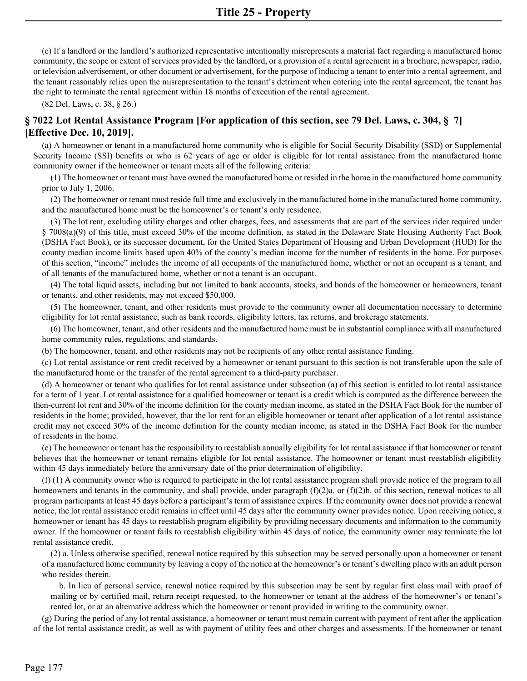(e) If a landlord or the landlord's authorized representative intentionally misrepresents a material fact regarding a manufactured home community, the scope or extent of services provided by the landlord, or a provision of a rental agreement in a brochure, newspaper, radio, or television advertisement, or other document or advertisement, for the purpose of inducing a tenant to enter into a rental agreement, and the tenant reasonably relies upon the misrepresentation to the tenant's detriment when entering into the rental agreement, the tenant has the right to terminate the rental agreement within 18 months of execution of the rental agreement.

(82 Del. Laws, c. 38, § 26.)

# **§ 7022 Lot Rental Assistance Program [For application of this section, see 79 Del. Laws, c. 304, § 7] [Effective Dec. 10, 2019].**

(a) A homeowner or tenant in a manufactured home community who is eligible for Social Security Disability (SSD) or Supplemental Security Income (SSI) benefits or who is 62 years of age or older is eligible for lot rental assistance from the manufactured home community owner if the homeowner or tenant meets all of the following criteria:

(1) The homeowner or tenant must have owned the manufactured home or resided in the home in the manufactured home community prior to July 1, 2006.

(2) The homeowner or tenant must reside full time and exclusively in the manufactured home in the manufactured home community, and the manufactured home must be the homeowner's or tenant's only residence.

(3) The lot rent, excluding utility charges and other charges, fees, and assessments that are part of the services rider required under § 7008(a)(9) of this title, must exceed 30% of the income definition, as stated in the Delaware State Housing Authority Fact Book (DSHA Fact Book), or its successor document, for the United States Department of Housing and Urban Development (HUD) for the county median income limits based upon 40% of the county's median income for the number of residents in the home. For purposes of this section, "income" includes the income of all occupants of the manufactured home, whether or not an occupant is a tenant, and of all tenants of the manufactured home, whether or not a tenant is an occupant.

(4) The total liquid assets, including but not limited to bank accounts, stocks, and bonds of the homeowner or homeowners, tenant or tenants, and other residents, may not exceed \$50,000.

(5) The homeowner, tenant, and other residents must provide to the community owner all documentation necessary to determine eligibility for lot rental assistance, such as bank records, eligibility letters, tax returns, and brokerage statements.

(6) The homeowner, tenant, and other residents and the manufactured home must be in substantial compliance with all manufactured home community rules, regulations, and standards.

(b) The homeowner, tenant, and other residents may not be recipients of any other rental assistance funding.

(c) Lot rental assistance or rent credit received by a homeowner or tenant pursuant to this section is not transferable upon the sale of the manufactured home or the transfer of the rental agreement to a third-party purchaser.

(d) A homeowner or tenant who qualifies for lot rental assistance under subsection (a) of this section is entitled to lot rental assistance for a term of 1 year. Lot rental assistance for a qualified homeowner or tenant is a credit which is computed as the difference between the then-current lot rent and 30% of the income definition for the county median income, as stated in the DSHA Fact Book for the number of residents in the home; provided, however, that the lot rent for an eligible homeowner or tenant after application of a lot rental assistance credit may not exceed 30% of the income definition for the county median income, as stated in the DSHA Fact Book for the number of residents in the home.

(e) The homeowner or tenant has the responsibility to reestablish annually eligibility for lot rental assistance if that homeowner or tenant believes that the homeowner or tenant remains eligible for lot rental assistance. The homeowner or tenant must reestablish eligibility within 45 days immediately before the anniversary date of the prior determination of eligibility.

(f) (1) A community owner who is required to participate in the lot rental assistance program shall provide notice of the program to all homeowners and tenants in the community, and shall provide, under paragraph (f)(2)a. or (f)(2)b. of this section, renewal notices to all program participants at least 45 days before a participant's term of assistance expires. If the community owner does not provide a renewal notice, the lot rental assistance credit remains in effect until 45 days after the community owner provides notice. Upon receiving notice, a homeowner or tenant has 45 days to reestablish program eligibility by providing necessary documents and information to the community owner. If the homeowner or tenant fails to reestablish eligibility within 45 days of notice, the community owner may terminate the lot rental assistance credit.

(2) a. Unless otherwise specified, renewal notice required by this subsection may be served personally upon a homeowner or tenant of a manufactured home community by leaving a copy of the notice at the homeowner's or tenant's dwelling place with an adult person who resides therein.

b. In lieu of personal service, renewal notice required by this subsection may be sent by regular first class mail with proof of mailing or by certified mail, return receipt requested, to the homeowner or tenant at the address of the homeowner's or tenant's rented lot, or at an alternative address which the homeowner or tenant provided in writing to the community owner.

(g) During the period of any lot rental assistance, a homeowner or tenant must remain current with payment of rent after the application of the lot rental assistance credit, as well as with payment of utility fees and other charges and assessments. If the homeowner or tenant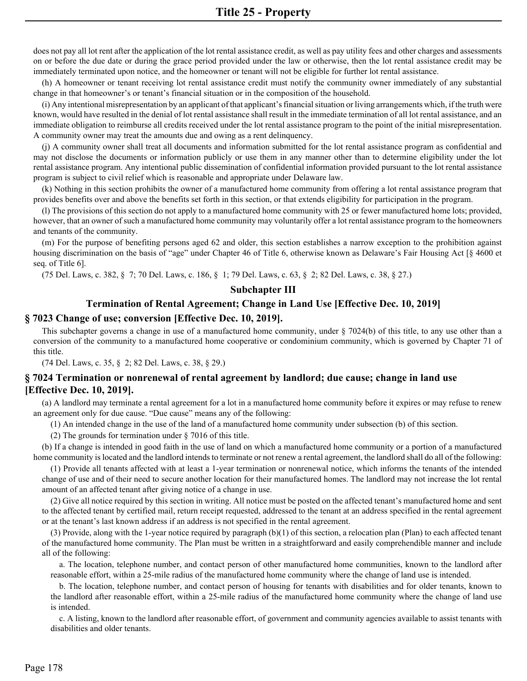does not pay all lot rent after the application of the lot rental assistance credit, as well as pay utility fees and other charges and assessments on or before the due date or during the grace period provided under the law or otherwise, then the lot rental assistance credit may be immediately terminated upon notice, and the homeowner or tenant will not be eligible for further lot rental assistance.

(h) A homeowner or tenant receiving lot rental assistance credit must notify the community owner immediately of any substantial change in that homeowner's or tenant's financial situation or in the composition of the household.

(i) Any intentional misrepresentation by an applicant of that applicant's financial situation or living arrangements which, if the truth were known, would have resulted in the denial of lot rental assistance shall result in the immediate termination of all lot rental assistance, and an immediate obligation to reimburse all credits received under the lot rental assistance program to the point of the initial misrepresentation. A community owner may treat the amounts due and owing as a rent delinquency.

(j) A community owner shall treat all documents and information submitted for the lot rental assistance program as confidential and may not disclose the documents or information publicly or use them in any manner other than to determine eligibility under the lot rental assistance program. Any intentional public dissemination of confidential information provided pursuant to the lot rental assistance program is subject to civil relief which is reasonable and appropriate under Delaware law.

(k) Nothing in this section prohibits the owner of a manufactured home community from offering a lot rental assistance program that provides benefits over and above the benefits set forth in this section, or that extends eligibility for participation in the program.

(l) The provisions of this section do not apply to a manufactured home community with 25 or fewer manufactured home lots; provided, however, that an owner of such a manufactured home community may voluntarily offer a lot rental assistance program to the homeowners and tenants of the community.

(m) For the purpose of benefiting persons aged 62 and older, this section establishes a narrow exception to the prohibition against housing discrimination on the basis of "age" under Chapter 46 of Title 6, otherwise known as Delaware's Fair Housing Act [§ 4600 et seq. of Title 6].

(75 Del. Laws, c. 382, § 7; 70 Del. Laws, c. 186, § 1; 79 Del. Laws, c. 63, § 2; 82 Del. Laws, c. 38, § 27.)

#### **Subchapter III**

## **Termination of Rental Agreement; Change in Land Use [Effective Dec. 10, 2019]**

#### **§ 7023 Change of use; conversion [Effective Dec. 10, 2019].**

This subchapter governs a change in use of a manufactured home community, under § 7024(b) of this title, to any use other than a conversion of the community to a manufactured home cooperative or condominium community, which is governed by Chapter 71 of this title.

(74 Del. Laws, c. 35, § 2; 82 Del. Laws, c. 38, § 29.)

## **§ 7024 Termination or nonrenewal of rental agreement by landlord; due cause; change in land use [Effective Dec. 10, 2019].**

(a) A landlord may terminate a rental agreement for a lot in a manufactured home community before it expires or may refuse to renew an agreement only for due cause. "Due cause" means any of the following:

(1) An intended change in the use of the land of a manufactured home community under subsection (b) of this section.

(2) The grounds for termination under § 7016 of this title.

(b) If a change is intended in good faith in the use of land on which a manufactured home community or a portion of a manufactured home community is located and the landlord intends to terminate or not renew a rental agreement, the landlord shall do all of the following:

(1) Provide all tenants affected with at least a 1-year termination or nonrenewal notice, which informs the tenants of the intended change of use and of their need to secure another location for their manufactured homes. The landlord may not increase the lot rental amount of an affected tenant after giving notice of a change in use.

(2) Give all notice required by this section in writing. All notice must be posted on the affected tenant's manufactured home and sent to the affected tenant by certified mail, return receipt requested, addressed to the tenant at an address specified in the rental agreement or at the tenant's last known address if an address is not specified in the rental agreement.

(3) Provide, along with the 1-year notice required by paragraph (b)(1) of this section, a relocation plan (Plan) to each affected tenant of the manufactured home community. The Plan must be written in a straightforward and easily comprehendible manner and include all of the following:

a. The location, telephone number, and contact person of other manufactured home communities, known to the landlord after reasonable effort, within a 25-mile radius of the manufactured home community where the change of land use is intended.

b. The location, telephone number, and contact person of housing for tenants with disabilities and for older tenants, known to the landlord after reasonable effort, within a 25-mile radius of the manufactured home community where the change of land use is intended.

c. A listing, known to the landlord after reasonable effort, of government and community agencies available to assist tenants with disabilities and older tenants.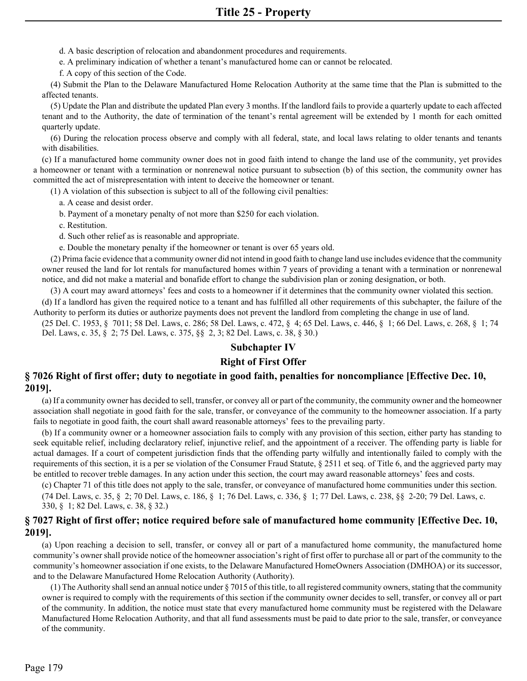d. A basic description of relocation and abandonment procedures and requirements.

e. A preliminary indication of whether a tenant's manufactured home can or cannot be relocated.

f. A copy of this section of the Code.

(4) Submit the Plan to the Delaware Manufactured Home Relocation Authority at the same time that the Plan is submitted to the affected tenants.

(5) Update the Plan and distribute the updated Plan every 3 months. If the landlord fails to provide a quarterly update to each affected tenant and to the Authority, the date of termination of the tenant's rental agreement will be extended by 1 month for each omitted quarterly update.

(6) During the relocation process observe and comply with all federal, state, and local laws relating to older tenants and tenants with disabilities.

(c) If a manufactured home community owner does not in good faith intend to change the land use of the community, yet provides a homeowner or tenant with a termination or nonrenewal notice pursuant to subsection (b) of this section, the community owner has committed the act of misrepresentation with intent to deceive the homeowner or tenant.

(1) A violation of this subsection is subject to all of the following civil penalties:

a. A cease and desist order.

b. Payment of a monetary penalty of not more than \$250 for each violation.

c. Restitution.

d. Such other relief as is reasonable and appropriate.

e. Double the monetary penalty if the homeowner or tenant is over 65 years old.

(2) Prima facie evidence that a community owner did not intend in good faith to change land use includes evidence that the community owner reused the land for lot rentals for manufactured homes within 7 years of providing a tenant with a termination or nonrenewal notice, and did not make a material and bonafide effort to change the subdivision plan or zoning designation, or both.

(3) A court may award attorneys' fees and costs to a homeowner if it determines that the community owner violated this section.

(d) If a landlord has given the required notice to a tenant and has fulfilled all other requirements of this subchapter, the failure of the Authority to perform its duties or authorize payments does not prevent the landlord from completing the change in use of land.

(25 Del. C. 1953, § 7011; 58 Del. Laws, c. 286; 58 Del. Laws, c. 472, § 4; 65 Del. Laws, c. 446, § 1; 66 Del. Laws, c. 268, § 1; 74 Del. Laws, c. 35, § 2; 75 Del. Laws, c. 375, §§ 2, 3; 82 Del. Laws, c. 38, § 30.)

## **Subchapter IV**

## **Right of First Offer**

## **§ 7026 Right of first offer; duty to negotiate in good faith, penalties for noncompliance [Effective Dec. 10, 2019].**

(a) If a community owner has decided to sell, transfer, or convey all or part of the community, the community owner and the homeowner association shall negotiate in good faith for the sale, transfer, or conveyance of the community to the homeowner association. If a party fails to negotiate in good faith, the court shall award reasonable attorneys' fees to the prevailing party.

(b) If a community owner or a homeowner association fails to comply with any provision of this section, either party has standing to seek equitable relief, including declaratory relief, injunctive relief, and the appointment of a receiver. The offending party is liable for actual damages. If a court of competent jurisdiction finds that the offending party wilfully and intentionally failed to comply with the requirements of this section, it is a per se violation of the Consumer Fraud Statute, § 2511 et seq. of Title 6, and the aggrieved party may be entitled to recover treble damages. In any action under this section, the court may award reasonable attorneys' fees and costs.

(c) Chapter 71 of this title does not apply to the sale, transfer, or conveyance of manufactured home communities under this section. (74 Del. Laws, c. 35, § 2; 70 Del. Laws, c. 186, § 1; 76 Del. Laws, c. 336, § 1; 77 Del. Laws, c. 238, §§ 2-20; 79 Del. Laws, c. 330, § 1; 82 Del. Laws, c. 38, § 32.)

# **§ 7027 Right of first offer; notice required before sale of manufactured home community [Effective Dec. 10, 2019].**

(a) Upon reaching a decision to sell, transfer, or convey all or part of a manufactured home community, the manufactured home community's owner shall provide notice of the homeowner association's right of first offer to purchase all or part of the community to the community's homeowner association if one exists, to the Delaware Manufactured HomeOwners Association (DMHOA) or its successor, and to the Delaware Manufactured Home Relocation Authority (Authority).

(1) The Authority shall send an annual notice under § 7015 of this title, to all registered community owners, stating that the community owner is required to comply with the requirements of this section if the community owner decides to sell, transfer, or convey all or part of the community. In addition, the notice must state that every manufactured home community must be registered with the Delaware Manufactured Home Relocation Authority, and that all fund assessments must be paid to date prior to the sale, transfer, or conveyance of the community.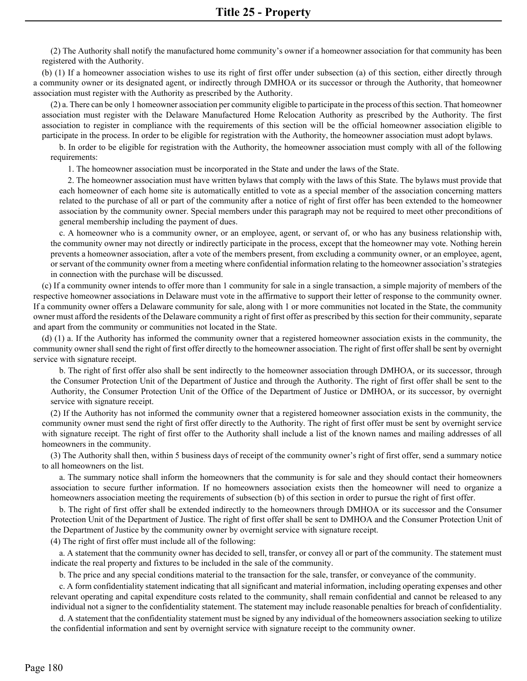(2) The Authority shall notify the manufactured home community's owner if a homeowner association for that community has been registered with the Authority.

(b) (1) If a homeowner association wishes to use its right of first offer under subsection (a) of this section, either directly through a community owner or its designated agent, or indirectly through DMHOA or its successor or through the Authority, that homeowner association must register with the Authority as prescribed by the Authority.

(2) a. There can be only 1 homeowner association per community eligible to participate in the process of this section. That homeowner association must register with the Delaware Manufactured Home Relocation Authority as prescribed by the Authority. The first association to register in compliance with the requirements of this section will be the official homeowner association eligible to participate in the process. In order to be eligible for registration with the Authority, the homeowner association must adopt bylaws.

b. In order to be eligible for registration with the Authority, the homeowner association must comply with all of the following requirements:

1. The homeowner association must be incorporated in the State and under the laws of the State.

2. The homeowner association must have written bylaws that comply with the laws of this State. The bylaws must provide that each homeowner of each home site is automatically entitled to vote as a special member of the association concerning matters related to the purchase of all or part of the community after a notice of right of first offer has been extended to the homeowner association by the community owner. Special members under this paragraph may not be required to meet other preconditions of general membership including the payment of dues.

c. A homeowner who is a community owner, or an employee, agent, or servant of, or who has any business relationship with, the community owner may not directly or indirectly participate in the process, except that the homeowner may vote. Nothing herein prevents a homeowner association, after a vote of the members present, from excluding a community owner, or an employee, agent, or servant of the community owner from a meeting where confidential information relating to the homeowner association's strategies in connection with the purchase will be discussed.

(c) If a community owner intends to offer more than 1 community for sale in a single transaction, a simple majority of members of the respective homeowner associations in Delaware must vote in the affirmative to support their letter of response to the community owner. If a community owner offers a Delaware community for sale, along with 1 or more communities not located in the State, the community owner must afford the residents of the Delaware community a right of first offer as prescribed by this section for their community, separate and apart from the community or communities not located in the State.

(d) (1) a. If the Authority has informed the community owner that a registered homeowner association exists in the community, the community owner shall send the right of first offer directly to the homeowner association. The right of first offer shall be sent by overnight service with signature receipt.

b. The right of first offer also shall be sent indirectly to the homeowner association through DMHOA, or its successor, through the Consumer Protection Unit of the Department of Justice and through the Authority. The right of first offer shall be sent to the Authority, the Consumer Protection Unit of the Office of the Department of Justice or DMHOA, or its successor, by overnight service with signature receipt.

(2) If the Authority has not informed the community owner that a registered homeowner association exists in the community, the community owner must send the right of first offer directly to the Authority. The right of first offer must be sent by overnight service with signature receipt. The right of first offer to the Authority shall include a list of the known names and mailing addresses of all homeowners in the community.

(3) The Authority shall then, within 5 business days of receipt of the community owner's right of first offer, send a summary notice to all homeowners on the list.

a. The summary notice shall inform the homeowners that the community is for sale and they should contact their homeowners association to secure further information. If no homeowners association exists then the homeowner will need to organize a homeowners association meeting the requirements of subsection (b) of this section in order to pursue the right of first offer.

b. The right of first offer shall be extended indirectly to the homeowners through DMHOA or its successor and the Consumer Protection Unit of the Department of Justice. The right of first offer shall be sent to DMHOA and the Consumer Protection Unit of the Department of Justice by the community owner by overnight service with signature receipt.

(4) The right of first offer must include all of the following:

a. A statement that the community owner has decided to sell, transfer, or convey all or part of the community. The statement must indicate the real property and fixtures to be included in the sale of the community.

b. The price and any special conditions material to the transaction for the sale, transfer, or conveyance of the community.

c. A form confidentiality statement indicating that all significant and material information, including operating expenses and other relevant operating and capital expenditure costs related to the community, shall remain confidential and cannot be released to any individual not a signer to the confidentiality statement. The statement may include reasonable penalties for breach of confidentiality.

d. A statement that the confidentiality statement must be signed by any individual of the homeowners association seeking to utilize the confidential information and sent by overnight service with signature receipt to the community owner.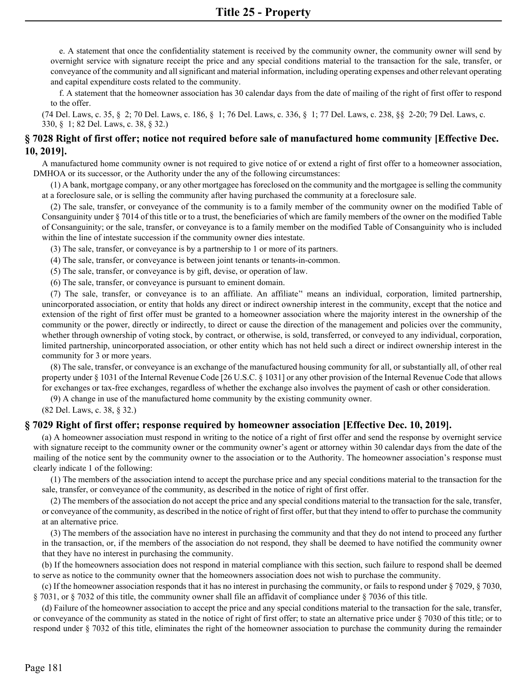e. A statement that once the confidentiality statement is received by the community owner, the community owner will send by overnight service with signature receipt the price and any special conditions material to the transaction for the sale, transfer, or conveyance of the community and all significant and material information, including operating expenses and other relevant operating and capital expenditure costs related to the community.

f. A statement that the homeowner association has 30 calendar days from the date of mailing of the right of first offer to respond to the offer.

(74 Del. Laws, c. 35, § 2; 70 Del. Laws, c. 186, § 1; 76 Del. Laws, c. 336, § 1; 77 Del. Laws, c. 238, §§ 2-20; 79 Del. Laws, c. 330, § 1; 82 Del. Laws, c. 38, § 32.)

## **§ 7028 Right of first offer; notice not required before sale of manufactured home community [Effective Dec. 10, 2019].**

A manufactured home community owner is not required to give notice of or extend a right of first offer to a homeowner association, DMHOA or its successor, or the Authority under the any of the following circumstances:

(1) A bank, mortgage company, or any other mortgagee has foreclosed on the community and the mortgagee is selling the community at a foreclosure sale, or is selling the community after having purchased the community at a foreclosure sale.

(2) The sale, transfer, or conveyance of the community is to a family member of the community owner on the modified Table of Consanguinity under § 7014 of this title or to a trust, the beneficiaries of which are family members of the owner on the modified Table of Consanguinity; or the sale, transfer, or conveyance is to a family member on the modified Table of Consanguinity who is included within the line of intestate succession if the community owner dies intestate.

(3) The sale, transfer, or conveyance is by a partnership to 1 or more of its partners.

(4) The sale, transfer, or conveyance is between joint tenants or tenants-in-common.

(5) The sale, transfer, or conveyance is by gift, devise, or operation of law.

(6) The sale, transfer, or conveyance is pursuant to eminent domain.

(7) The sale, transfer, or conveyance is to an affiliate. An affiliate'' means an individual, corporation, limited partnership, unincorporated association, or entity that holds any direct or indirect ownership interest in the community, except that the notice and extension of the right of first offer must be granted to a homeowner association where the majority interest in the ownership of the community or the power, directly or indirectly, to direct or cause the direction of the management and policies over the community, whether through ownership of voting stock, by contract, or otherwise, is sold, transferred, or conveyed to any individual, corporation, limited partnership, unincorporated association, or other entity which has not held such a direct or indirect ownership interest in the community for 3 or more years.

(8) The sale, transfer, or conveyance is an exchange of the manufactured housing community for all, or substantially all, of other real property under § 1031 of the Internal Revenue Code [26 U.S.C. § 1031] or any other provision of the Internal Revenue Code that allows for exchanges or tax-free exchanges, regardless of whether the exchange also involves the payment of cash or other consideration.

(9) A change in use of the manufactured home community by the existing community owner.

(82 Del. Laws, c. 38, § 32.)

## **§ 7029 Right of first offer; response required by homeowner association [Effective Dec. 10, 2019].**

(a) A homeowner association must respond in writing to the notice of a right of first offer and send the response by overnight service with signature receipt to the community owner or the community owner's agent or attorney within 30 calendar days from the date of the mailing of the notice sent by the community owner to the association or to the Authority. The homeowner association's response must clearly indicate 1 of the following:

(1) The members of the association intend to accept the purchase price and any special conditions material to the transaction for the sale, transfer, or conveyance of the community, as described in the notice of right of first offer.

(2) The members of the association do not accept the price and any special conditions material to the transaction for the sale, transfer, or conveyance of the community, as described in the notice of right of first offer, but that they intend to offer to purchase the community at an alternative price.

(3) The members of the association have no interest in purchasing the community and that they do not intend to proceed any further in the transaction, or, if the members of the association do not respond, they shall be deemed to have notified the community owner that they have no interest in purchasing the community.

(b) If the homeowners association does not respond in material compliance with this section, such failure to respond shall be deemed to serve as notice to the community owner that the homeowners association does not wish to purchase the community.

(c) If the homeowner association responds that it has no interest in purchasing the community, or fails to respond under § 7029, § 7030, § 7031, or § 7032 of this title, the community owner shall file an affidavit of compliance under § 7036 of this title.

(d) Failure of the homeowner association to accept the price and any special conditions material to the transaction for the sale, transfer, or conveyance of the community as stated in the notice of right of first offer; to state an alternative price under  $\S$  7030 of this title; or to respond under § 7032 of this title, eliminates the right of the homeowner association to purchase the community during the remainder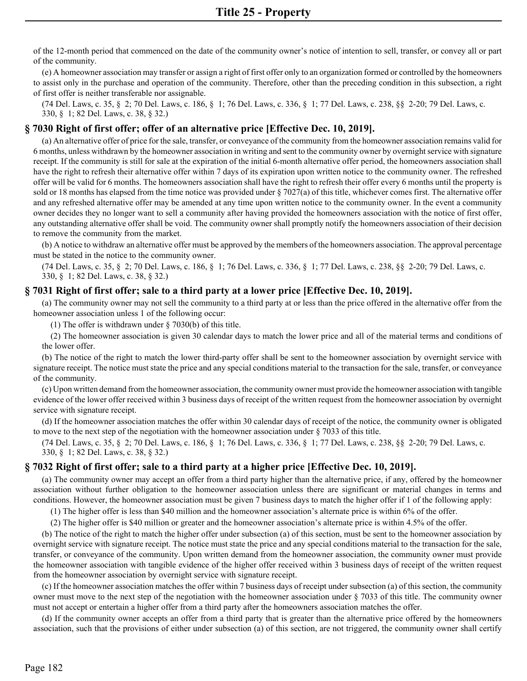of the 12-month period that commenced on the date of the community owner's notice of intention to sell, transfer, or convey all or part of the community.

(e) A homeowner association may transfer or assign a right of first offer only to an organization formed or controlled by the homeowners to assist only in the purchase and operation of the community. Therefore, other than the preceding condition in this subsection, a right of first offer is neither transferable nor assignable.

(74 Del. Laws, c. 35, § 2; 70 Del. Laws, c. 186, § 1; 76 Del. Laws, c. 336, § 1; 77 Del. Laws, c. 238, §§ 2-20; 79 Del. Laws, c. 330, § 1; 82 Del. Laws, c. 38, § 32.)

#### **§ 7030 Right of first offer; offer of an alternative price [Effective Dec. 10, 2019].**

(a) An alternative offer of price for the sale, transfer, or conveyance of the community from the homeowner association remains valid for 6 months, unless withdrawn by the homeowner association in writing and sent to the community owner by overnight service with signature receipt. If the community is still for sale at the expiration of the initial 6-month alternative offer period, the homeowners association shall have the right to refresh their alternative offer within 7 days of its expiration upon written notice to the community owner. The refreshed offer will be valid for 6 months. The homeowners association shall have the right to refresh their offer every 6 months until the property is sold or 18 months has elapsed from the time notice was provided under § 7027(a) of this title, whichever comes first. The alternative offer and any refreshed alternative offer may be amended at any time upon written notice to the community owner. In the event a community owner decides they no longer want to sell a community after having provided the homeowners association with the notice of first offer, any outstanding alternative offer shall be void. The community owner shall promptly notify the homeowners association of their decision to remove the community from the market.

(b) A notice to withdraw an alternative offer must be approved by the members of the homeowners association. The approval percentage must be stated in the notice to the community owner.

(74 Del. Laws, c. 35, § 2; 70 Del. Laws, c. 186, § 1; 76 Del. Laws, c. 336, § 1; 77 Del. Laws, c. 238, §§ 2-20; 79 Del. Laws, c. 330, § 1; 82 Del. Laws, c. 38, § 32.)

## **§ 7031 Right of first offer; sale to a third party at a lower price [Effective Dec. 10, 2019].**

(a) The community owner may not sell the community to a third party at or less than the price offered in the alternative offer from the homeowner association unless 1 of the following occur:

(1) The offer is withdrawn under § 7030(b) of this title.

(2) The homeowner association is given 30 calendar days to match the lower price and all of the material terms and conditions of the lower offer.

(b) The notice of the right to match the lower third-party offer shall be sent to the homeowner association by overnight service with signature receipt. The notice must state the price and any special conditions material to the transaction for the sale, transfer, or conveyance of the community.

(c) Upon written demand from the homeowner association, the community owner must provide the homeowner association with tangible evidence of the lower offer received within 3 business days of receipt of the written request from the homeowner association by overnight service with signature receipt.

(d) If the homeowner association matches the offer within 30 calendar days of receipt of the notice, the community owner is obligated to move to the next step of the negotiation with the homeowner association under  $\S 7033$  of this title.

(74 Del. Laws, c. 35, § 2; 70 Del. Laws, c. 186, § 1; 76 Del. Laws, c. 336, § 1; 77 Del. Laws, c. 238, §§ 2-20; 79 Del. Laws, c. 330, § 1; 82 Del. Laws, c. 38, § 32.)

#### **§ 7032 Right of first offer; sale to a third party at a higher price [Effective Dec. 10, 2019].**

(a) The community owner may accept an offer from a third party higher than the alternative price, if any, offered by the homeowner association without further obligation to the homeowner association unless there are significant or material changes in terms and conditions. However, the homeowner association must be given 7 business days to match the higher offer if 1 of the following apply:

(1) The higher offer is less than \$40 million and the homeowner association's alternate price is within 6% of the offer.

(2) The higher offer is \$40 million or greater and the homeowner association's alternate price is within 4.5% of the offer.

(b) The notice of the right to match the higher offer under subsection (a) of this section, must be sent to the homeowner association by overnight service with signature receipt. The notice must state the price and any special conditions material to the transaction for the sale, transfer, or conveyance of the community. Upon written demand from the homeowner association, the community owner must provide the homeowner association with tangible evidence of the higher offer received within 3 business days of receipt of the written request from the homeowner association by overnight service with signature receipt.

(c) If the homeowner association matches the offer within 7 business days of receipt under subsection (a) of this section, the community owner must move to the next step of the negotiation with the homeowner association under § 7033 of this title. The community owner must not accept or entertain a higher offer from a third party after the homeowners association matches the offer.

(d) If the community owner accepts an offer from a third party that is greater than the alternative price offered by the homeowners association, such that the provisions of either under subsection (a) of this section, are not triggered, the community owner shall certify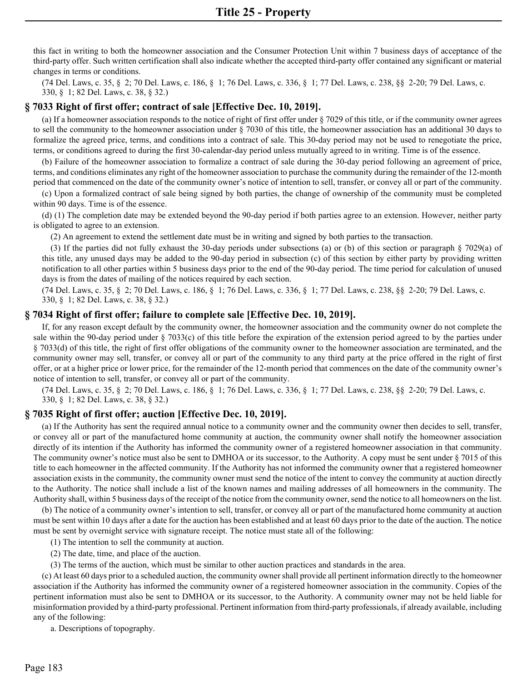this fact in writing to both the homeowner association and the Consumer Protection Unit within 7 business days of acceptance of the third-party offer. Such written certification shall also indicate whether the accepted third-party offer contained any significant or material changes in terms or conditions.

(74 Del. Laws, c. 35, § 2; 70 Del. Laws, c. 186, § 1; 76 Del. Laws, c. 336, § 1; 77 Del. Laws, c. 238, §§ 2-20; 79 Del. Laws, c. 330, § 1; 82 Del. Laws, c. 38, § 32.)

## **§ 7033 Right of first offer; contract of sale [Effective Dec. 10, 2019].**

(a) If a homeowner association responds to the notice of right of first offer under § 7029 of this title, or if the community owner agrees to sell the community to the homeowner association under § 7030 of this title, the homeowner association has an additional 30 days to formalize the agreed price, terms, and conditions into a contract of sale. This 30-day period may not be used to renegotiate the price, terms, or conditions agreed to during the first 30-calendar-day period unless mutually agreed to in writing. Time is of the essence.

(b) Failure of the homeowner association to formalize a contract of sale during the 30-day period following an agreement of price, terms, and conditions eliminates any right of the homeowner association to purchase the community during the remainder of the 12-month period that commenced on the date of the community owner's notice of intention to sell, transfer, or convey all or part of the community.

(c) Upon a formalized contract of sale being signed by both parties, the change of ownership of the community must be completed within 90 days. Time is of the essence.

(d) (1) The completion date may be extended beyond the 90-day period if both parties agree to an extension. However, neither party is obligated to agree to an extension.

(2) An agreement to extend the settlement date must be in writing and signed by both parties to the transaction.

(3) If the parties did not fully exhaust the 30-day periods under subsections (a) or (b) of this section or paragraph § 7029(a) of this title, any unused days may be added to the 90-day period in subsection (c) of this section by either party by providing written notification to all other parties within 5 business days prior to the end of the 90-day period. The time period for calculation of unused days is from the dates of mailing of the notices required by each section.

(74 Del. Laws, c. 35, § 2; 70 Del. Laws, c. 186, § 1; 76 Del. Laws, c. 336, § 1; 77 Del. Laws, c. 238, §§ 2-20; 79 Del. Laws, c. 330, § 1; 82 Del. Laws, c. 38, § 32.)

#### **§ 7034 Right of first offer; failure to complete sale [Effective Dec. 10, 2019].**

If, for any reason except default by the community owner, the homeowner association and the community owner do not complete the sale within the 90-day period under § 7033(c) of this title before the expiration of the extension period agreed to by the parties under § 7033(d) of this title, the right of first offer obligations of the community owner to the homeowner association are terminated, and the community owner may sell, transfer, or convey all or part of the community to any third party at the price offered in the right of first offer, or at a higher price or lower price, for the remainder of the 12-month period that commences on the date of the community owner's notice of intention to sell, transfer, or convey all or part of the community.

(74 Del. Laws, c. 35, § 2; 70 Del. Laws, c. 186, § 1; 76 Del. Laws, c. 336, § 1; 77 Del. Laws, c. 238, §§ 2-20; 79 Del. Laws, c. 330, § 1; 82 Del. Laws, c. 38, § 32.)

## **§ 7035 Right of first offer; auction [Effective Dec. 10, 2019].**

(a) If the Authority has sent the required annual notice to a community owner and the community owner then decides to sell, transfer, or convey all or part of the manufactured home community at auction, the community owner shall notify the homeowner association directly of its intention if the Authority has informed the community owner of a registered homeowner association in that community. The community owner's notice must also be sent to DMHOA or its successor, to the Authority. A copy must be sent under § 7015 of this title to each homeowner in the affected community. If the Authority has not informed the community owner that a registered homeowner association exists in the community, the community owner must send the notice of the intent to convey the community at auction directly to the Authority. The notice shall include a list of the known names and mailing addresses of all homeowners in the community. The Authority shall, within 5 business days of the receipt of the notice from the community owner, send the notice to all homeowners on the list.

(b) The notice of a community owner's intention to sell, transfer, or convey all or part of the manufactured home community at auction must be sent within 10 days after a date for the auction has been established and at least 60 days prior to the date of the auction. The notice must be sent by overnight service with signature receipt. The notice must state all of the following:

(1) The intention to sell the community at auction.

- (2) The date, time, and place of the auction.
- (3) The terms of the auction, which must be similar to other auction practices and standards in the area.

(c) At least 60 days prior to a scheduled auction, the community owner shall provide all pertinent information directly to the homeowner association if the Authority has informed the community owner of a registered homeowner association in the community. Copies of the pertinent information must also be sent to DMHOA or its successor, to the Authority. A community owner may not be held liable for misinformation provided by a third-party professional. Pertinent information from third-party professionals, if already available, including any of the following:

a. Descriptions of topography.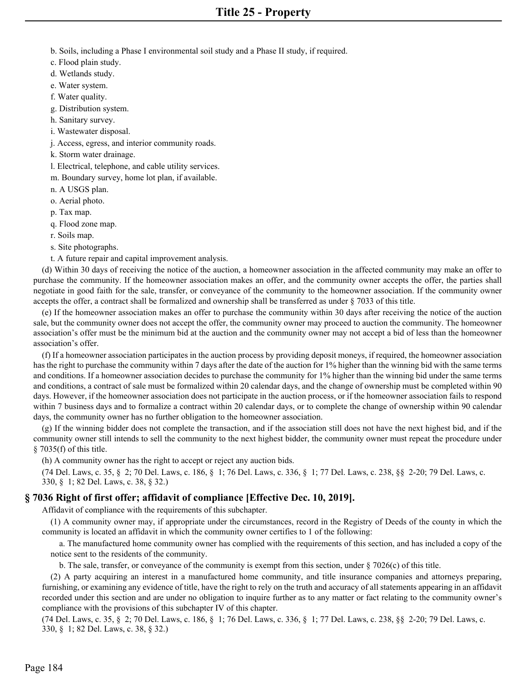- b. Soils, including a Phase I environmental soil study and a Phase II study, if required.
- c. Flood plain study.
- d. Wetlands study.
- e. Water system.
- f. Water quality.
- g. Distribution system.
- h. Sanitary survey.
- i. Wastewater disposal.
- j. Access, egress, and interior community roads.
- k. Storm water drainage.
- l. Electrical, telephone, and cable utility services.
- m. Boundary survey, home lot plan, if available.
- n. A USGS plan.
- o. Aerial photo.
- p. Tax map.
- q. Flood zone map.
- r. Soils map.
- s. Site photographs.
- t. A future repair and capital improvement analysis.

 (d) Within 30 days of receiving the notice of the auction, a homeowner association in the affected community may make an offer to purchase the community. If the homeowner association makes an offer, and the community owner accepts the offer, the parties shall negotiate in good faith for the sale, transfer, or conveyance of the community to the homeowner association. If the community owner accepts the offer, a contract shall be formalized and ownership shall be transferred as under  $\S$  7033 of this title.

 (e) If the homeowner association makes an offer to purchase the community within 30 days after receiving the notice of the auction sale, but the community owner does not accept the offer, the community owner may proceed to auction the community. The homeowner association's offer must be the minimum bid at the auction and the community owner may not accept a bid of less than the homeowner association's offer.

 (f) If a homeowner association participates in the auction process by providing deposit moneys, if required, the homeowner association has the right to purchase the community within 7 days after the date of the auction for 1% higher than the winning bid with the same terms and conditions. If a homeowner association decides to purchase the community for 1% higher than the winning bid under the same terms and conditions, a contract of sale must be formalized within 20 calendar days, and the change of ownership must be completed within 90 days. However, if the homeowner association does not participate in the auction process, or if the homeowner association fails to respond within 7 business days and to formalize a contract within 20 calendar days, or to complete the change of ownership within 90 calendar days, the community owner has no further obligation to the homeowner association.

 (g) If the winning bidder does not complete the transaction, and if the association still does not have the next highest bid, and if the community owner still intends to sell the community to the next highest bidder, the community owner must repeat the procedure under  $\S$  7035(f) of this title.

(h) A community owner has the right to accept or reject any auction bids.

(74 Del. Laws, c. 35, § 2; 70 Del. Laws, c. 186, § 1; 76 Del. Laws, c. 336, § 1; 77 Del. Laws, c. 238, §§ 2-20; 79 Del. Laws, c. 330, § 1; 82 Del. Laws, c. 38, § 32.)

## **§ 7036 Right of first offer; affidavit of compliance [Effective Dec. 10, 2019].**

Affidavit of compliance with the requirements of this subchapter.

 (1) A community owner may, if appropriate under the circumstances, record in the Registry of Deeds of the county in which the community is located an affidavit in which the community owner certifies to 1 of the following:

 a. The manufactured home community owner has complied with the requirements of this section, and has included a copy of the notice sent to the residents of the community.

b. The sale, transfer, or conveyance of the community is exempt from this section, under  $\S 7026(c)$  of this title.

 (2) A party acquiring an interest in a manufactured home community, and title insurance companies and attorneys preparing, furnishing, or examining any evidence of title, have the right to rely on the truth and accuracy of all statements appearing in an affidavit recorded under this section and are under no obligation to inquire further as to any matter or fact relating to the community owner's compliance with the provisions of this subchapter IV of this chapter.

(74 Del. Laws, c. 35, § 2; 70 Del. Laws, c. 186, § 1; 76 Del. Laws, c. 336, § 1; 77 Del. Laws, c. 238, §§ 2-20; 79 Del. Laws, c. 330, § 1; 82 Del. Laws, c. 38, § 32.)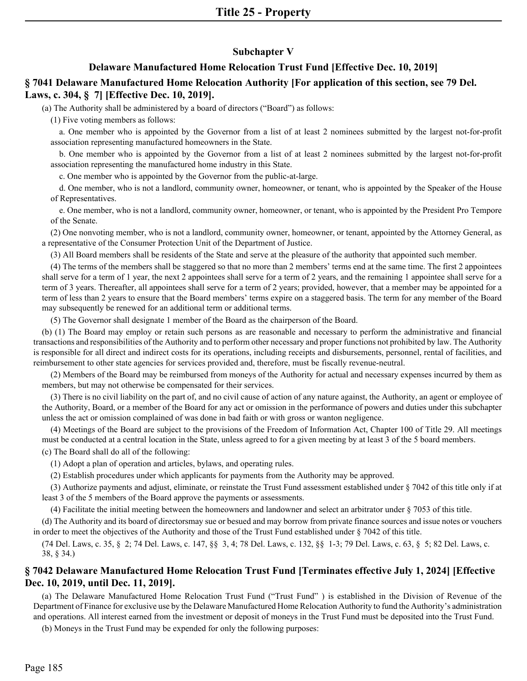## **Subchapter V**

## **Delaware Manufactured Home Relocation Trust Fund [Effective Dec. 10, 2019]**

# **§ 7041 Delaware Manufactured Home Relocation Authority [For application of this section, see 79 Del.**

## **Laws, c. 304, § 7] [Effective Dec. 10, 2019].**

(a) The Authority shall be administered by a board of directors ("Board") as follows:

(1) Five voting members as follows:

a. One member who is appointed by the Governor from a list of at least 2 nominees submitted by the largest not-for-profit association representing manufactured homeowners in the State.

b. One member who is appointed by the Governor from a list of at least 2 nominees submitted by the largest not-for-profit association representing the manufactured home industry in this State.

c. One member who is appointed by the Governor from the public-at-large.

d. One member, who is not a landlord, community owner, homeowner, or tenant, who is appointed by the Speaker of the House of Representatives.

e. One member, who is not a landlord, community owner, homeowner, or tenant, who is appointed by the President Pro Tempore of the Senate.

(2) One nonvoting member, who is not a landlord, community owner, homeowner, or tenant, appointed by the Attorney General, as a representative of the Consumer Protection Unit of the Department of Justice.

(3) All Board members shall be residents of the State and serve at the pleasure of the authority that appointed such member.

(4) The terms of the members shall be staggered so that no more than 2 members' terms end at the same time. The first 2 appointees shall serve for a term of 1 year, the next 2 appointees shall serve for a term of 2 years, and the remaining 1 appointee shall serve for a term of 3 years. Thereafter, all appointees shall serve for a term of 2 years; provided, however, that a member may be appointed for a term of less than 2 years to ensure that the Board members' terms expire on a staggered basis. The term for any member of the Board may subsequently be renewed for an additional term or additional terms.

(5) The Governor shall designate 1 member of the Board as the chairperson of the Board.

(b) (1) The Board may employ or retain such persons as are reasonable and necessary to perform the administrative and financial transactions and responsibilities of the Authority and to perform other necessary and proper functions not prohibited by law. The Authority is responsible for all direct and indirect costs for its operations, including receipts and disbursements, personnel, rental of facilities, and reimbursement to other state agencies for services provided and, therefore, must be fiscally revenue-neutral.

(2) Members of the Board may be reimbursed from moneys of the Authority for actual and necessary expenses incurred by them as members, but may not otherwise be compensated for their services.

(3) There is no civil liability on the part of, and no civil cause of action of any nature against, the Authority, an agent or employee of the Authority, Board, or a member of the Board for any act or omission in the performance of powers and duties under this subchapter unless the act or omission complained of was done in bad faith or with gross or wanton negligence.

(4) Meetings of the Board are subject to the provisions of the Freedom of Information Act, Chapter 100 of Title 29. All meetings must be conducted at a central location in the State, unless agreed to for a given meeting by at least 3 of the 5 board members. (c) The Board shall do all of the following:

(1) Adopt a plan of operation and articles, bylaws, and operating rules.

(2) Establish procedures under which applicants for payments from the Authority may be approved.

(3) Authorize payments and adjust, eliminate, or reinstate the Trust Fund assessment established under § 7042 of this title only if at least 3 of the 5 members of the Board approve the payments or assessments.

(4) Facilitate the initial meeting between the homeowners and landowner and select an arbitrator under § 7053 of this title.

(d) The Authority and its board of directorsmay sue or besued and may borrow from private finance sources and issue notes or vouchers in order to meet the objectives of the Authority and those of the Trust Fund established under § 7042 of this title.

(74 Del. Laws, c. 35, § 2; 74 Del. Laws, c. 147, §§ 3, 4; 78 Del. Laws, c. 132, §§ 1-3; 79 Del. Laws, c. 63, § 5; 82 Del. Laws, c. 38, § 34.)

# **§ 7042 Delaware Manufactured Home Relocation Trust Fund [Terminates effective July 1, 2024] [Effective Dec. 10, 2019, until Dec. 11, 2019].**

(a) The Delaware Manufactured Home Relocation Trust Fund ("Trust Fund" ) is established in the Division of Revenue of the Department of Finance for exclusive use by the Delaware Manufactured Home Relocation Authority to fund the Authority's administration and operations. All interest earned from the investment or deposit of moneys in the Trust Fund must be deposited into the Trust Fund.

(b) Moneys in the Trust Fund may be expended for only the following purposes: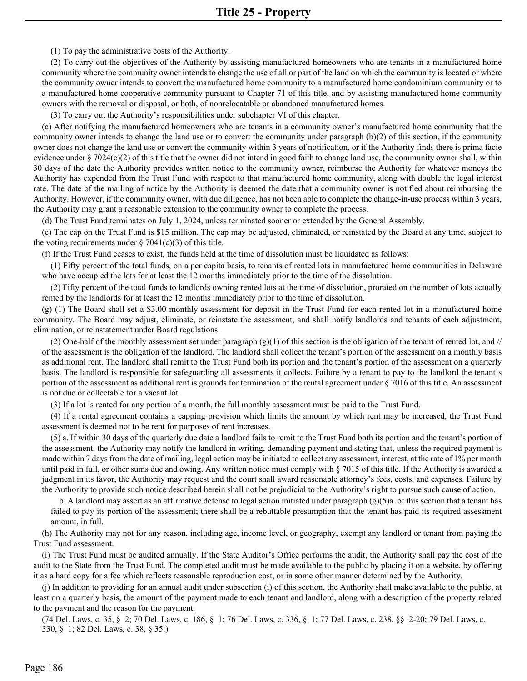(1) To pay the administrative costs of the Authority.

(2) To carry out the objectives of the Authority by assisting manufactured homeowners who are tenants in a manufactured home community where the community owner intends to change the use of all or part of the land on which the community is located or where the community owner intends to convert the manufactured home community to a manufactured home condominium community or to a manufactured home cooperative community pursuant to Chapter 71 of this title, and by assisting manufactured home community owners with the removal or disposal, or both, of nonrelocatable or abandoned manufactured homes.

(3) To carry out the Authority's responsibilities under subchapter VI of this chapter.

(c) After notifying the manufactured homeowners who are tenants in a community owner's manufactured home community that the community owner intends to change the land use or to convert the community under paragraph (b)(2) of this section, if the community owner does not change the land use or convert the community within 3 years of notification, or if the Authority finds there is prima facie evidence under § 7024(c)(2) of this title that the owner did not intend in good faith to change land use, the community owner shall, within 30 days of the date the Authority provides written notice to the community owner, reimburse the Authority for whatever moneys the Authority has expended from the Trust Fund with respect to that manufactured home community, along with double the legal interest rate. The date of the mailing of notice by the Authority is deemed the date that a community owner is notified about reimbursing the Authority. However, if the community owner, with due diligence, has not been able to complete the change-in-use process within 3 years, the Authority may grant a reasonable extension to the community owner to complete the process.

(d) The Trust Fund terminates on July 1, 2024, unless terminated sooner or extended by the General Assembly.

(e) The cap on the Trust Fund is \$15 million. The cap may be adjusted, eliminated, or reinstated by the Board at any time, subject to the voting requirements under  $\S 7041(c)(3)$  of this title.

(f) If the Trust Fund ceases to exist, the funds held at the time of dissolution must be liquidated as follows:

(1) Fifty percent of the total funds, on a per capita basis, to tenants of rented lots in manufactured home communities in Delaware who have occupied the lots for at least the 12 months immediately prior to the time of the dissolution.

(2) Fifty percent of the total funds to landlords owning rented lots at the time of dissolution, prorated on the number of lots actually rented by the landlords for at least the 12 months immediately prior to the time of dissolution.

(g) (1) The Board shall set a \$3.00 monthly assessment for deposit in the Trust Fund for each rented lot in a manufactured home community. The Board may adjust, eliminate, or reinstate the assessment, and shall notify landlords and tenants of each adjustment, elimination, or reinstatement under Board regulations.

(2) One-half of the monthly assessment set under paragraph  $(g)(1)$  of this section is the obligation of the tenant of rented lot, and  $\frac{1}{2}$ of the assessment is the obligation of the landlord. The landlord shall collect the tenant's portion of the assessment on a monthly basis as additional rent. The landlord shall remit to the Trust Fund both its portion and the tenant's portion of the assessment on a quarterly basis. The landlord is responsible for safeguarding all assessments it collects. Failure by a tenant to pay to the landlord the tenant's portion of the assessment as additional rent is grounds for termination of the rental agreement under § 7016 of this title. An assessment is not due or collectable for a vacant lot.

(3) If a lot is rented for any portion of a month, the full monthly assessment must be paid to the Trust Fund.

(4) If a rental agreement contains a capping provision which limits the amount by which rent may be increased, the Trust Fund assessment is deemed not to be rent for purposes of rent increases.

(5) a. If within 30 days of the quarterly due date a landlord fails to remit to the Trust Fund both its portion and the tenant's portion of the assessment, the Authority may notify the landlord in writing, demanding payment and stating that, unless the required payment is made within 7 days from the date of mailing, legal action may be initiated to collect any assessment, interest, at the rate of 1% per month until paid in full, or other sums due and owing. Any written notice must comply with § 7015 of this title. If the Authority is awarded a judgment in its favor, the Authority may request and the court shall award reasonable attorney's fees, costs, and expenses. Failure by the Authority to provide such notice described herein shall not be prejudicial to the Authority's right to pursue such cause of action.

b. A landlord may assert as an affirmative defense to legal action initiated under paragraph  $(g)(5)$ a. of this section that a tenant has failed to pay its portion of the assessment; there shall be a rebuttable presumption that the tenant has paid its required assessment amount, in full.

(h) The Authority may not for any reason, including age, income level, or geography, exempt any landlord or tenant from paying the Trust Fund assessment.

(i) The Trust Fund must be audited annually. If the State Auditor's Office performs the audit, the Authority shall pay the cost of the audit to the State from the Trust Fund. The completed audit must be made available to the public by placing it on a website, by offering it as a hard copy for a fee which reflects reasonable reproduction cost, or in some other manner determined by the Authority.

(j) In addition to providing for an annual audit under subsection (i) of this section, the Authority shall make available to the public, at least on a quarterly basis, the amount of the payment made to each tenant and landlord, along with a description of the property related to the payment and the reason for the payment.

(74 Del. Laws, c. 35, § 2; 70 Del. Laws, c. 186, § 1; 76 Del. Laws, c. 336, § 1; 77 Del. Laws, c. 238, §§ 2-20; 79 Del. Laws, c. 330, § 1; 82 Del. Laws, c. 38, § 35.)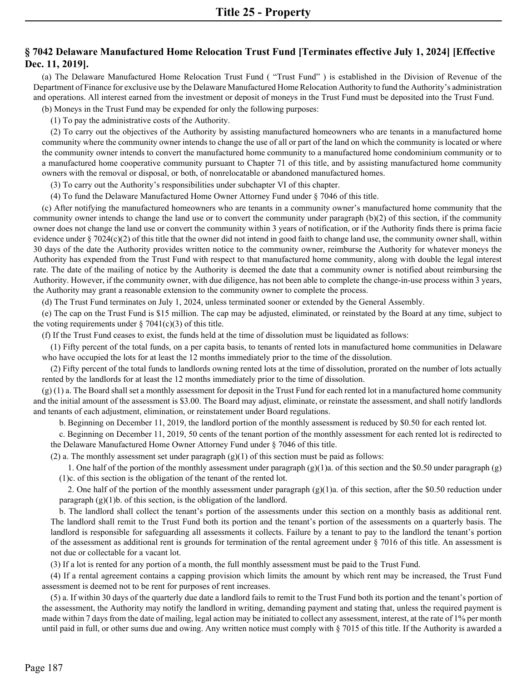# **§ 7042 Delaware Manufactured Home Relocation Trust Fund [Terminates effective July 1, 2024] [Effective Dec. 11, 2019].**

(a) The Delaware Manufactured Home Relocation Trust Fund ( "Trust Fund" ) is established in the Division of Revenue of the Department of Finance for exclusive use by the Delaware Manufactured Home Relocation Authority to fund the Authority's administration and operations. All interest earned from the investment or deposit of moneys in the Trust Fund must be deposited into the Trust Fund.

(b) Moneys in the Trust Fund may be expended for only the following purposes:

(1) To pay the administrative costs of the Authority.

(2) To carry out the objectives of the Authority by assisting manufactured homeowners who are tenants in a manufactured home community where the community owner intends to change the use of all or part of the land on which the community is located or where the community owner intends to convert the manufactured home community to a manufactured home condominium community or to a manufactured home cooperative community pursuant to Chapter 71 of this title, and by assisting manufactured home community owners with the removal or disposal, or both, of nonrelocatable or abandoned manufactured homes.

(3) To carry out the Authority's responsibilities under subchapter VI of this chapter.

(4) To fund the Delaware Manufactured Home Owner Attorney Fund under § 7046 of this title.

(c) After notifying the manufactured homeowners who are tenants in a community owner's manufactured home community that the community owner intends to change the land use or to convert the community under paragraph (b)(2) of this section, if the community owner does not change the land use or convert the community within 3 years of notification, or if the Authority finds there is prima facie evidence under § 7024(c)(2) of this title that the owner did not intend in good faith to change land use, the community owner shall, within 30 days of the date the Authority provides written notice to the community owner, reimburse the Authority for whatever moneys the Authority has expended from the Trust Fund with respect to that manufactured home community, along with double the legal interest rate. The date of the mailing of notice by the Authority is deemed the date that a community owner is notified about reimbursing the Authority. However, if the community owner, with due diligence, has not been able to complete the change-in-use process within 3 years, the Authority may grant a reasonable extension to the community owner to complete the process.

(d) The Trust Fund terminates on July 1, 2024, unless terminated sooner or extended by the General Assembly.

(e) The cap on the Trust Fund is \$15 million. The cap may be adjusted, eliminated, or reinstated by the Board at any time, subject to the voting requirements under  $\S 7041(c)(3)$  of this title.

(f) If the Trust Fund ceases to exist, the funds held at the time of dissolution must be liquidated as follows:

(1) Fifty percent of the total funds, on a per capita basis, to tenants of rented lots in manufactured home communities in Delaware who have occupied the lots for at least the 12 months immediately prior to the time of the dissolution.

(2) Fifty percent of the total funds to landlords owning rented lots at the time of dissolution, prorated on the number of lots actually rented by the landlords for at least the 12 months immediately prior to the time of dissolution.

 $(g)$  (1) a. The Board shall set a monthly assessment for deposit in the Trust Fund for each rented lot in a manufactured home community and the initial amount of the assessment is \$3.00. The Board may adjust, eliminate, or reinstate the assessment, and shall notify landlords and tenants of each adjustment, elimination, or reinstatement under Board regulations.

b. Beginning on December 11, 2019, the landlord portion of the monthly assessment is reduced by \$0.50 for each rented lot.

c. Beginning on December 11, 2019, 50 cents of the tenant portion of the monthly assessment for each rented lot is redirected to the Delaware Manufactured Home Owner Attorney Fund under § 7046 of this title.

(2) a. The monthly assessment set under paragraph  $(g)(1)$  of this section must be paid as follows:

1. One half of the portion of the monthly assessment under paragraph (g)(1)a. of this section and the \$0.50 under paragraph (g) (1)c. of this section is the obligation of the tenant of the rented lot.

2. One half of the portion of the monthly assessment under paragraph  $(g)(1)a$ . of this section, after the \$0.50 reduction under paragraph  $(g)(1)$ b. of this section, is the obligation of the landlord.

b. The landlord shall collect the tenant's portion of the assessments under this section on a monthly basis as additional rent. The landlord shall remit to the Trust Fund both its portion and the tenant's portion of the assessments on a quarterly basis. The landlord is responsible for safeguarding all assessments it collects. Failure by a tenant to pay to the landlord the tenant's portion of the assessment as additional rent is grounds for termination of the rental agreement under  $\S$  7016 of this title. An assessment is not due or collectable for a vacant lot.

(3) If a lot is rented for any portion of a month, the full monthly assessment must be paid to the Trust Fund.

(4) If a rental agreement contains a capping provision which limits the amount by which rent may be increased, the Trust Fund assessment is deemed not to be rent for purposes of rent increases.

(5) a. If within 30 days of the quarterly due date a landlord fails to remit to the Trust Fund both its portion and the tenant's portion of the assessment, the Authority may notify the landlord in writing, demanding payment and stating that, unless the required payment is made within 7 days from the date of mailing, legal action may be initiated to collect any assessment, interest, at the rate of 1% per month until paid in full, or other sums due and owing. Any written notice must comply with § 7015 of this title. If the Authority is awarded a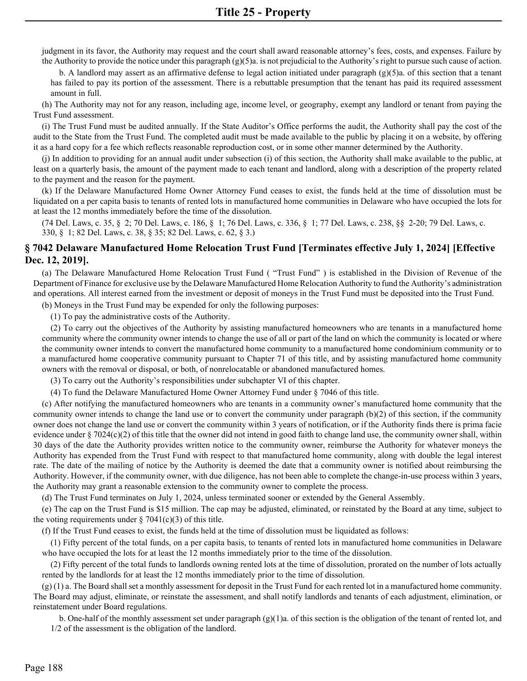judgment in its favor, the Authority may request and the court shall award reasonable attorney's fees, costs, and expenses. Failure by the Authority to provide the notice under this paragraph (g)(5)a. is not prejudicial to the Authority's right to pursue such cause of action.

 b. A landlord may assert as an affirmative defense to legal action initiated under paragraph (g)(5)a. of this section that a tenant has failed to pay its portion of the assessment. There is a rebuttable presumption that the tenant has paid its required assessment amount in full.

 (h) The Authority may not for any reason, including age, income level, or geography, exempt any landlord or tenant from paying the Trust Fund assessment.

 (i) The Trust Fund must be audited annually. If the State Auditor's Office performs the audit, the Authority shall pay the cost of the audit to the State from the Trust Fund. The completed audit must be made available to the public by placing it on a website, by offering it as a hard copy for a fee which reflects reasonable reproduction cost, or in some other manner determined by the Authority.

 (j) In addition to providing for an annual audit under subsection (i) of this section, the Authority shall make available to the public, at least on a quarterly basis, the amount of the payment made to each tenant and landlord, along with a description of the property related to the payment and the reason for the payment.

 (k) If the Delaware Manufactured Home Owner Attorney Fund ceases to exist, the funds held at the time of dissolution must be liquidated on a per capita basis to tenants of rented lots in manufactured home communities in Delaware who have occupied the lots for at least the 12 months immediately before the time of the dissolution.

(74 Del. Laws, c. 35, § 2; 70 Del. Laws, c. 186, § 1; 76 Del. Laws, c. 336, § 1; 77 Del. Laws, c. 238, §§ 2-20; 79 Del. Laws, c. 330, § 1; 82 Del. Laws, c. 38, § 35; 82 Del. Laws, c. 62, § 3.)

## **§ 7042 Delaware Manufactured Home Relocation Trust Fund [Terminates effective July 1, 2024] [Effective Dec. 12, 2019].**

 (a) The Delaware Manufactured Home Relocation Trust Fund ( "Trust Fund" ) is established in the Division of Revenue of the Department of Finance for exclusive use by the Delaware Manufactured Home Relocation Authority to fund the Authority's administration and operations. All interest earned from the investment or deposit of moneys in the Trust Fund must be deposited into the Trust Fund.

(b) Moneys in the Trust Fund may be expended for only the following purposes:

(1) To pay the administrative costs of the Authority.

 (2) To carry out the objectives of the Authority by assisting manufactured homeowners who are tenants in a manufactured home community where the community owner intends to change the use of all or part of the land on which the community is located or where the community owner intends to convert the manufactured home community to a manufactured home condominium community or to a manufactured home cooperative community pursuant to Chapter 71 of this title, and by assisting manufactured home community owners with the removal or disposal, or both, of nonrelocatable or abandoned manufactured homes.

(3) To carry out the Authority's responsibilities under subchapter VI of this chapter.

(4) To fund the Delaware Manufactured Home Owner Attorney Fund under § 7046 of this title.

 (c) After notifying the manufactured homeowners who are tenants in a community owner's manufactured home community that the community owner intends to change the land use or to convert the community under paragraph (b)(2) of this section, if the community owner does not change the land use or convert the community within 3 years of notification, or if the Authority finds there is prima facie evidence under § 7024(c)(2) of this title that the owner did not intend in good faith to change land use, the community owner shall, within 30 days of the date the Authority provides written notice to the community owner, reimburse the Authority for whatever moneys the Authority has expended from the Trust Fund with respect to that manufactured home community, along with double the legal interest rate. The date of the mailing of notice by the Authority is deemed the date that a community owner is notified about reimbursing the Authority. However, if the community owner, with due diligence, has not been able to complete the change-in-use process within 3 years, the Authority may grant a reasonable extension to the community owner to complete the process.

(d) The Trust Fund terminates on July 1, 2024, unless terminated sooner or extended by the General Assembly.

 (e) The cap on the Trust Fund is \$15 million. The cap may be adjusted, eliminated, or reinstated by the Board at any time, subject to the voting requirements under  $\S 7041(c)(3)$  of this title.

(f) If the Trust Fund ceases to exist, the funds held at the time of dissolution must be liquidated as follows:

 (1) Fifty percent of the total funds, on a per capita basis, to tenants of rented lots in manufactured home communities in Delaware who have occupied the lots for at least the 12 months immediately prior to the time of the dissolution.

 (2) Fifty percent of the total funds to landlords owning rented lots at the time of dissolution, prorated on the number of lots actually rented by the landlords for at least the 12 months immediately prior to the time of dissolution.

 (g) (1) a. The Board shall set a monthly assessment for deposit in the Trust Fund for each rented lot in a manufactured home community. The Board may adjust, eliminate, or reinstate the assessment, and shall notify landlords and tenants of each adjustment, elimination, or reinstatement under Board regulations.

 b. One-half of the monthly assessment set under paragraph (g)(1)a. of this section is the obligation of the tenant of rented lot, and 1/2 of the assessment is the obligation of the landlord.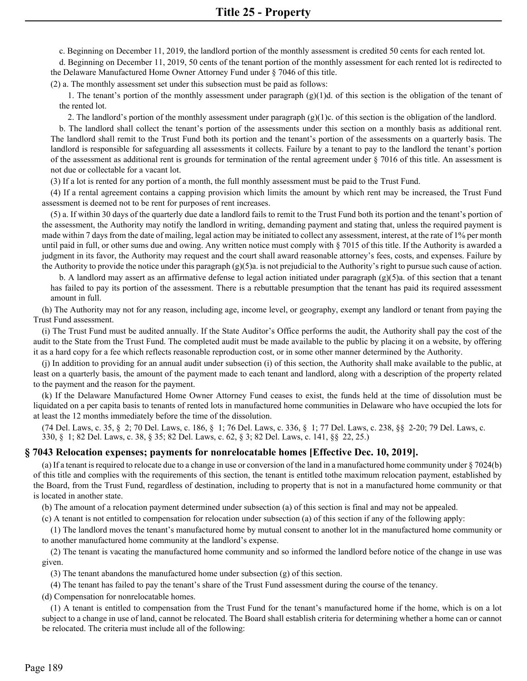c. Beginning on December 11, 2019, the landlord portion of the monthly assessment is credited 50 cents for each rented lot.

d. Beginning on December 11, 2019, 50 cents of the tenant portion of the monthly assessment for each rented lot is redirected to the Delaware Manufactured Home Owner Attorney Fund under § 7046 of this title.

(2) a. The monthly assessment set under this subsection must be paid as follows:

1. The tenant's portion of the monthly assessment under paragraph  $(g)(1)d$ . of this section is the obligation of the tenant of the rented lot.

2. The landlord's portion of the monthly assessment under paragraph  $(g)(1)c$ . of this section is the obligation of the landlord.

b. The landlord shall collect the tenant's portion of the assessments under this section on a monthly basis as additional rent. The landlord shall remit to the Trust Fund both its portion and the tenant's portion of the assessments on a quarterly basis. The landlord is responsible for safeguarding all assessments it collects. Failure by a tenant to pay to the landlord the tenant's portion of the assessment as additional rent is grounds for termination of the rental agreement under  $\S$  7016 of this title. An assessment is not due or collectable for a vacant lot.

(3) If a lot is rented for any portion of a month, the full monthly assessment must be paid to the Trust Fund.

(4) If a rental agreement contains a capping provision which limits the amount by which rent may be increased, the Trust Fund assessment is deemed not to be rent for purposes of rent increases.

(5) a. If within 30 days of the quarterly due date a landlord fails to remit to the Trust Fund both its portion and the tenant's portion of the assessment, the Authority may notify the landlord in writing, demanding payment and stating that, unless the required payment is made within 7 days from the date of mailing, legal action may be initiated to collect any assessment, interest, at the rate of 1% per month until paid in full, or other sums due and owing. Any written notice must comply with § 7015 of this title. If the Authority is awarded a judgment in its favor, the Authority may request and the court shall award reasonable attorney's fees, costs, and expenses. Failure by the Authority to provide the notice under this paragraph  $(g)(5)a$ . is not prejudicial to the Authority's right to pursue such cause of action.

b. A landlord may assert as an affirmative defense to legal action initiated under paragraph (g)(5)a. of this section that a tenant has failed to pay its portion of the assessment. There is a rebuttable presumption that the tenant has paid its required assessment amount in full.

(h) The Authority may not for any reason, including age, income level, or geography, exempt any landlord or tenant from paying the Trust Fund assessment.

(i) The Trust Fund must be audited annually. If the State Auditor's Office performs the audit, the Authority shall pay the cost of the audit to the State from the Trust Fund. The completed audit must be made available to the public by placing it on a website, by offering it as a hard copy for a fee which reflects reasonable reproduction cost, or in some other manner determined by the Authority.

(j) In addition to providing for an annual audit under subsection (i) of this section, the Authority shall make available to the public, at least on a quarterly basis, the amount of the payment made to each tenant and landlord, along with a description of the property related to the payment and the reason for the payment.

(k) If the Delaware Manufactured Home Owner Attorney Fund ceases to exist, the funds held at the time of dissolution must be liquidated on a per capita basis to tenants of rented lots in manufactured home communities in Delaware who have occupied the lots for at least the 12 months immediately before the time of the dissolution.

(74 Del. Laws, c. 35, § 2; 70 Del. Laws, c. 186, § 1; 76 Del. Laws, c. 336, § 1; 77 Del. Laws, c. 238, §§ 2-20; 79 Del. Laws, c. 330, § 1; 82 Del. Laws, c. 38, § 35; 82 Del. Laws, c. 62, § 3; 82 Del. Laws, c. 141, §§ 22, 25.)

## **§ 7043 Relocation expenses; payments for nonrelocatable homes [Effective Dec. 10, 2019].**

(a) If a tenant is required to relocate due to a change in use or conversion of the land in a manufactured home community under § 7024(b) of this title and complies with the requirements of this section, the tenant is entitled tothe maximum relocation payment, established by the Board, from the Trust Fund, regardless of destination, including to property that is not in a manufactured home community or that is located in another state.

(b) The amount of a relocation payment determined under subsection (a) of this section is final and may not be appealed.

(c) A tenant is not entitled to compensation for relocation under subsection (a) of this section if any of the following apply:

(1) The landlord moves the tenant's manufactured home by mutual consent to another lot in the manufactured home community or to another manufactured home community at the landlord's expense.

(2) The tenant is vacating the manufactured home community and so informed the landlord before notice of the change in use was given.

(3) The tenant abandons the manufactured home under subsection (g) of this section.

(4) The tenant has failed to pay the tenant's share of the Trust Fund assessment during the course of the tenancy.

(d) Compensation for nonrelocatable homes.

(1) A tenant is entitled to compensation from the Trust Fund for the tenant's manufactured home if the home, which is on a lot subject to a change in use of land, cannot be relocated. The Board shall establish criteria for determining whether a home can or cannot be relocated. The criteria must include all of the following: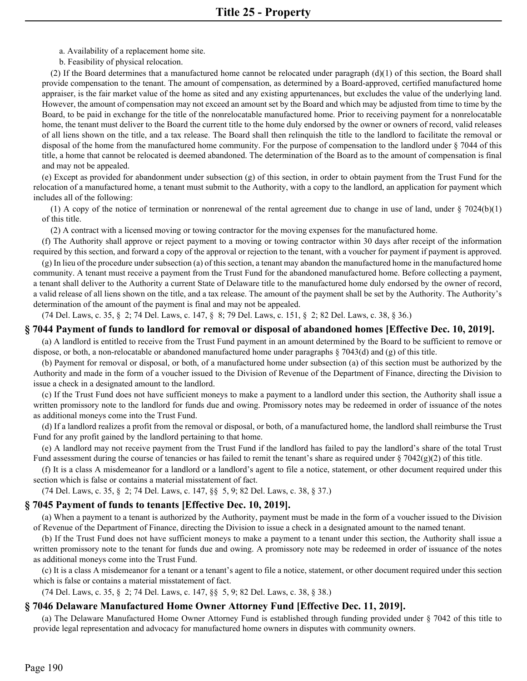- a. Availability of a replacement home site.
- b. Feasibility of physical relocation.

(2) If the Board determines that a manufactured home cannot be relocated under paragraph  $(d)(1)$  of this section, the Board shall provide compensation to the tenant. The amount of compensation, as determined by a Board-approved, certified manufactured home appraiser, is the fair market value of the home as sited and any existing appurtenances, but excludes the value of the underlying land. However, the amount of compensation may not exceed an amount set by the Board and which may be adjusted from time to time by the Board, to be paid in exchange for the title of the nonrelocatable manufactured home. Prior to receiving payment for a nonrelocatable home, the tenant must deliver to the Board the current title to the home duly endorsed by the owner or owners of record, valid releases of all liens shown on the title, and a tax release. The Board shall then relinquish the title to the landlord to facilitate the removal or disposal of the home from the manufactured home community. For the purpose of compensation to the landlord under § 7044 of this title, a home that cannot be relocated is deemed abandoned. The determination of the Board as to the amount of compensation is final and may not be appealed.

(e) Except as provided for abandonment under subsection (g) of this section, in order to obtain payment from the Trust Fund for the relocation of a manufactured home, a tenant must submit to the Authority, with a copy to the landlord, an application for payment which includes all of the following:

(1) A copy of the notice of termination or nonrenewal of the rental agreement due to change in use of land, under  $\S 7024(b)(1)$ of this title.

(2) A contract with a licensed moving or towing contractor for the moving expenses for the manufactured home.

(f) The Authority shall approve or reject payment to a moving or towing contractor within 30 days after receipt of the information required by this section, and forward a copy of the approval or rejection to the tenant, with a voucher for payment if payment is approved.

(g) In lieu of the procedure under subsection (a) of this section, a tenant may abandon the manufactured home in the manufactured home community. A tenant must receive a payment from the Trust Fund for the abandoned manufactured home. Before collecting a payment, a tenant shall deliver to the Authority a current State of Delaware title to the manufactured home duly endorsed by the owner of record, a valid release of all liens shown on the title, and a tax release. The amount of the payment shall be set by the Authority. The Authority's determination of the amount of the payment is final and may not be appealed.

(74 Del. Laws, c. 35, § 2; 74 Del. Laws, c. 147, § 8; 79 Del. Laws, c. 151, § 2; 82 Del. Laws, c. 38, § 36.)

#### **§ 7044 Payment of funds to landlord for removal or disposal of abandoned homes [Effective Dec. 10, 2019].**

(a) A landlord is entitled to receive from the Trust Fund payment in an amount determined by the Board to be sufficient to remove or dispose, or both, a non-relocatable or abandoned manufactured home under paragraphs § 7043(d) and (g) of this title.

(b) Payment for removal or disposal, or both, of a manufactured home under subsection (a) of this section must be authorized by the Authority and made in the form of a voucher issued to the Division of Revenue of the Department of Finance, directing the Division to issue a check in a designated amount to the landlord.

(c) If the Trust Fund does not have sufficient moneys to make a payment to a landlord under this section, the Authority shall issue a written promissory note to the landlord for funds due and owing. Promissory notes may be redeemed in order of issuance of the notes as additional moneys come into the Trust Fund.

(d) If a landlord realizes a profit from the removal or disposal, or both, of a manufactured home, the landlord shall reimburse the Trust Fund for any profit gained by the landlord pertaining to that home.

(e) A landlord may not receive payment from the Trust Fund if the landlord has failed to pay the landlord's share of the total Trust Fund assessment during the course of tenancies or has failed to remit the tenant's share as required under  $\S 7042(g)(2)$  of this title.

(f) It is a class A misdemeanor for a landlord or a landlord's agent to file a notice, statement, or other document required under this section which is false or contains a material misstatement of fact.

(74 Del. Laws, c. 35, § 2; 74 Del. Laws, c. 147, §§ 5, 9; 82 Del. Laws, c. 38, § 37.)

## **§ 7045 Payment of funds to tenants [Effective Dec. 10, 2019].**

(a) When a payment to a tenant is authorized by the Authority, payment must be made in the form of a voucher issued to the Division of Revenue of the Department of Finance, directing the Division to issue a check in a designated amount to the named tenant.

(b) If the Trust Fund does not have sufficient moneys to make a payment to a tenant under this section, the Authority shall issue a written promissory note to the tenant for funds due and owing. A promissory note may be redeemed in order of issuance of the notes as additional moneys come into the Trust Fund.

(c) It is a class A misdemeanor for a tenant or a tenant's agent to file a notice, statement, or other document required under this section which is false or contains a material misstatement of fact.

(74 Del. Laws, c. 35, § 2; 74 Del. Laws, c. 147, §§ 5, 9; 82 Del. Laws, c. 38, § 38.)

## **§ 7046 Delaware Manufactured Home Owner Attorney Fund [Effective Dec. 11, 2019].**

(a) The Delaware Manufactured Home Owner Attorney Fund is established through funding provided under § 7042 of this title to provide legal representation and advocacy for manufactured home owners in disputes with community owners.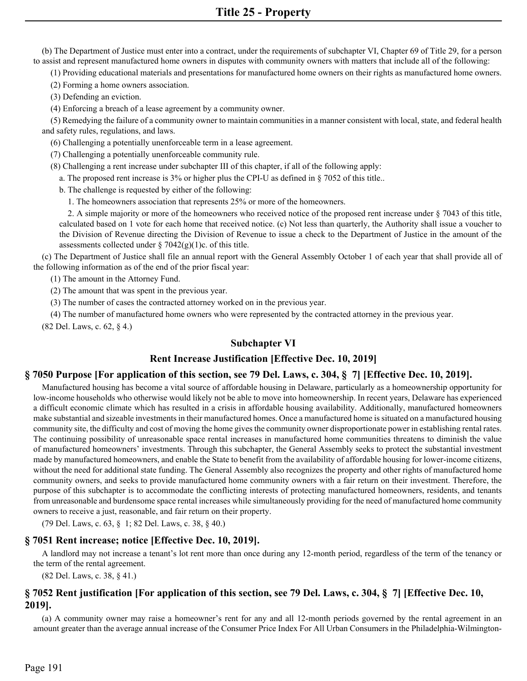(b) The Department of Justice must enter into a contract, under the requirements of subchapter VI, Chapter 69 of Title 29, for a person to assist and represent manufactured home owners in disputes with community owners with matters that include all of the following:

(1) Providing educational materials and presentations for manufactured home owners on their rights as manufactured home owners.

(2) Forming a home owners association.

(3) Defending an eviction.

(4) Enforcing a breach of a lease agreement by a community owner.

(5) Remedying the failure of a community owner to maintain communities in a manner consistent with local, state, and federal health and safety rules, regulations, and laws.

(6) Challenging a potentially unenforceable term in a lease agreement.

(7) Challenging a potentially unenforceable community rule.

(8) Challenging a rent increase under subchapter III of this chapter, if all of the following apply:

a. The proposed rent increase is 3% or higher plus the CPI-U as defined in § 7052 of this title..

b. The challenge is requested by either of the following:

1. The homeowners association that represents 25% or more of the homeowners.

2. A simple majority or more of the homeowners who received notice of the proposed rent increase under § 7043 of this title, calculated based on 1 vote for each home that received notice. (c) Not less than quarterly, the Authority shall issue a voucher to the Division of Revenue directing the Division of Revenue to issue a check to the Department of Justice in the amount of the assessments collected under  $\S 7042(g)(1)c$ . of this title.

(c) The Department of Justice shall file an annual report with the General Assembly October 1 of each year that shall provide all of the following information as of the end of the prior fiscal year:

(1) The amount in the Attorney Fund.

(2) The amount that was spent in the previous year.

(3) The number of cases the contracted attorney worked on in the previous year.

(4) The number of manufactured home owners who were represented by the contracted attorney in the previous year.

(82 Del. Laws, c. 62, § 4.)

## **Subchapter VI**

## **Rent Increase Justification [Effective Dec. 10, 2019]**

## **§ 7050 Purpose [For application of this section, see 79 Del. Laws, c. 304, § 7] [Effective Dec. 10, 2019].**

Manufactured housing has become a vital source of affordable housing in Delaware, particularly as a homeownership opportunity for low-income households who otherwise would likely not be able to move into homeownership. In recent years, Delaware has experienced a difficult economic climate which has resulted in a crisis in affordable housing availability. Additionally, manufactured homeowners make substantial and sizeable investments in their manufactured homes. Once a manufactured home is situated on a manufactured housing community site, the difficulty and cost of moving the home gives the community owner disproportionate power in establishing rental rates. The continuing possibility of unreasonable space rental increases in manufactured home communities threatens to diminish the value of manufactured homeowners' investments. Through this subchapter, the General Assembly seeks to protect the substantial investment made by manufactured homeowners, and enable the State to benefit from the availability of affordable housing for lower-income citizens, without the need for additional state funding. The General Assembly also recognizes the property and other rights of manufactured home community owners, and seeks to provide manufactured home community owners with a fair return on their investment. Therefore, the purpose of this subchapter is to accommodate the conflicting interests of protecting manufactured homeowners, residents, and tenants from unreasonable and burdensome space rental increases while simultaneously providing for the need of manufactured home community owners to receive a just, reasonable, and fair return on their property.

(79 Del. Laws, c. 63, § 1; 82 Del. Laws, c. 38, § 40.)

## **§ 7051 Rent increase; notice [Effective Dec. 10, 2019].**

A landlord may not increase a tenant's lot rent more than once during any 12-month period, regardless of the term of the tenancy or the term of the rental agreement.

(82 Del. Laws, c. 38, § 41.)

## **§ 7052 Rent justification [For application of this section, see 79 Del. Laws, c. 304, § 7] [Effective Dec. 10, 2019].**

(a) A community owner may raise a homeowner's rent for any and all 12-month periods governed by the rental agreement in an amount greater than the average annual increase of the Consumer Price Index For All Urban Consumers in the Philadelphia-Wilmington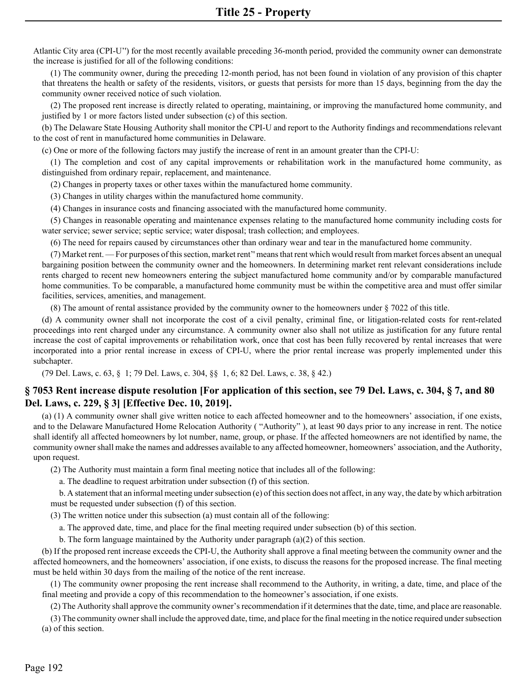Atlantic City area (CPI-U'') for the most recently available preceding 36-month period, provided the community owner can demonstrate the increase is justified for all of the following conditions:

(1) The community owner, during the preceding 12-month period, has not been found in violation of any provision of this chapter that threatens the health or safety of the residents, visitors, or guests that persists for more than 15 days, beginning from the day the community owner received notice of such violation.

(2) The proposed rent increase is directly related to operating, maintaining, or improving the manufactured home community, and justified by 1 or more factors listed under subsection (c) of this section.

(b) The Delaware State Housing Authority shall monitor the CPI-U and report to the Authority findings and recommendations relevant to the cost of rent in manufactured home communities in Delaware.

(c) One or more of the following factors may justify the increase of rent in an amount greater than the CPI-U:

(1) The completion and cost of any capital improvements or rehabilitation work in the manufactured home community, as distinguished from ordinary repair, replacement, and maintenance.

(2) Changes in property taxes or other taxes within the manufactured home community.

(3) Changes in utility charges within the manufactured home community.

(4) Changes in insurance costs and financing associated with the manufactured home community.

(5) Changes in reasonable operating and maintenance expenses relating to the manufactured home community including costs for water service; sewer service; septic service; water disposal; trash collection; and employees.

(6) The need for repairs caused by circumstances other than ordinary wear and tear in the manufactured home community.

(7) Market rent. — For purposes of this section, market rent'' means that rent which would result from market forces absent an unequal bargaining position between the community owner and the homeowners. In determining market rent relevant considerations include rents charged to recent new homeowners entering the subject manufactured home community and/or by comparable manufactured home communities. To be comparable, a manufactured home community must be within the competitive area and must offer similar facilities, services, amenities, and management.

(8) The amount of rental assistance provided by the community owner to the homeowners under § 7022 of this title.

(d) A community owner shall not incorporate the cost of a civil penalty, criminal fine, or litigation-related costs for rent-related proceedings into rent charged under any circumstance. A community owner also shall not utilize as justification for any future rental increase the cost of capital improvements or rehabilitation work, once that cost has been fully recovered by rental increases that were incorporated into a prior rental increase in excess of CPI-U, where the prior rental increase was properly implemented under this subchapter.

(79 Del. Laws, c. 63, § 1; 79 Del. Laws, c. 304, §§ 1, 6; 82 Del. Laws, c. 38, § 42.)

# **§ 7053 Rent increase dispute resolution [For application of this section, see 79 Del. Laws, c. 304, § 7, and 80 Del. Laws, c. 229, § 3] [Effective Dec. 10, 2019].**

(a) (1) A community owner shall give written notice to each affected homeowner and to the homeowners' association, if one exists, and to the Delaware Manufactured Home Relocation Authority ( "Authority" ), at least 90 days prior to any increase in rent. The notice shall identify all affected homeowners by lot number, name, group, or phase. If the affected homeowners are not identified by name, the community owner shall make the names and addresses available to any affected homeowner, homeowners' association, and the Authority, upon request.

(2) The Authority must maintain a form final meeting notice that includes all of the following:

a. The deadline to request arbitration under subsection (f) of this section.

b. A statement that an informal meeting under subsection (e) of this section does not affect, in any way, the date by which arbitration must be requested under subsection (f) of this section.

(3) The written notice under this subsection (a) must contain all of the following:

a. The approved date, time, and place for the final meeting required under subsection (b) of this section.

b. The form language maintained by the Authority under paragraph (a)(2) of this section.

(b) If the proposed rent increase exceeds the CPI-U, the Authority shall approve a final meeting between the community owner and the affected homeowners, and the homeowners' association, if one exists, to discuss the reasons for the proposed increase. The final meeting must be held within 30 days from the mailing of the notice of the rent increase.

(1) The community owner proposing the rent increase shall recommend to the Authority, in writing, a date, time, and place of the final meeting and provide a copy of this recommendation to the homeowner's association, if one exists.

(2) The Authority shall approve the community owner's recommendation if it determines that the date, time, and place are reasonable.

(3) The community owner shall include the approved date, time, and place for the final meeting in the notice required under subsection (a) of this section.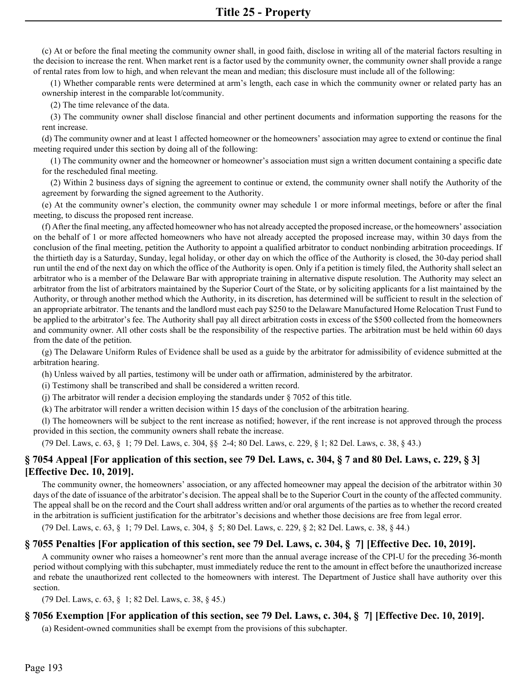(c) At or before the final meeting the community owner shall, in good faith, disclose in writing all of the material factors resulting in the decision to increase the rent. When market rent is a factor used by the community owner, the community owner shall provide a range of rental rates from low to high, and when relevant the mean and median; this disclosure must include all of the following:

(1) Whether comparable rents were determined at arm's length, each case in which the community owner or related party has an ownership interest in the comparable lot/community.

(2) The time relevance of the data.

(3) The community owner shall disclose financial and other pertinent documents and information supporting the reasons for the rent increase.

(d) The community owner and at least 1 affected homeowner or the homeowners' association may agree to extend or continue the final meeting required under this section by doing all of the following:

(1) The community owner and the homeowner or homeowner's association must sign a written document containing a specific date for the rescheduled final meeting.

(2) Within 2 business days of signing the agreement to continue or extend, the community owner shall notify the Authority of the agreement by forwarding the signed agreement to the Authority.

(e) At the community owner's election, the community owner may schedule 1 or more informal meetings, before or after the final meeting, to discuss the proposed rent increase.

(f) After the final meeting, any affected homeowner who has not already accepted the proposed increase, or the homeowners' association on the behalf of 1 or more affected homeowners who have not already accepted the proposed increase may, within 30 days from the conclusion of the final meeting, petition the Authority to appoint a qualified arbitrator to conduct nonbinding arbitration proceedings. If the thirtieth day is a Saturday, Sunday, legal holiday, or other day on which the office of the Authority is closed, the 30-day period shall run until the end of the next day on which the office of the Authority is open. Only if a petition is timely filed, the Authority shall select an arbitrator who is a member of the Delaware Bar with appropriate training in alternative dispute resolution. The Authority may select an arbitrator from the list of arbitrators maintained by the Superior Court of the State, or by soliciting applicants for a list maintained by the Authority, or through another method which the Authority, in its discretion, has determined will be sufficient to result in the selection of an appropriate arbitrator. The tenants and the landlord must each pay \$250 to the Delaware Manufactured Home Relocation Trust Fund to be applied to the arbitrator's fee. The Authority shall pay all direct arbitration costs in excess of the \$500 collected from the homeowners and community owner. All other costs shall be the responsibility of the respective parties. The arbitration must be held within 60 days from the date of the petition.

(g) The Delaware Uniform Rules of Evidence shall be used as a guide by the arbitrator for admissibility of evidence submitted at the arbitration hearing.

(h) Unless waived by all parties, testimony will be under oath or affirmation, administered by the arbitrator.

(i) Testimony shall be transcribed and shall be considered a written record.

(j) The arbitrator will render a decision employing the standards under § 7052 of this title.

(k) The arbitrator will render a written decision within 15 days of the conclusion of the arbitration hearing.

(l) The homeowners will be subject to the rent increase as notified; however, if the rent increase is not approved through the process provided in this section, the community owners shall rebate the increase.

(79 Del. Laws, c. 63, § 1; 79 Del. Laws, c. 304, §§ 2-4; 80 Del. Laws, c. 229, § 1; 82 Del. Laws, c. 38, § 43.)

# **§ 7054 Appeal [For application of this section, see 79 Del. Laws, c. 304, § 7 and 80 Del. Laws, c. 229, § 3] [Effective Dec. 10, 2019].**

The community owner, the homeowners' association, or any affected homeowner may appeal the decision of the arbitrator within 30 days of the date of issuance of the arbitrator's decision. The appeal shall be to the Superior Court in the county of the affected community. The appeal shall be on the record and the Court shall address written and/or oral arguments of the parties as to whether the record created in the arbitration is sufficient justification for the arbitrator's decisions and whether those decisions are free from legal error.

(79 Del. Laws, c. 63, § 1; 79 Del. Laws, c. 304, § 5; 80 Del. Laws, c. 229, § 2; 82 Del. Laws, c. 38, § 44.)

## **§ 7055 Penalties [For application of this section, see 79 Del. Laws, c. 304, § 7] [Effective Dec. 10, 2019].**

A community owner who raises a homeowner's rent more than the annual average increase of the CPI-U for the preceding 36-month period without complying with this subchapter, must immediately reduce the rent to the amount in effect before the unauthorized increase and rebate the unauthorized rent collected to the homeowners with interest. The Department of Justice shall have authority over this section.

(79 Del. Laws, c. 63, § 1; 82 Del. Laws, c. 38, § 45.)

# **§ 7056 Exemption [For application of this section, see 79 Del. Laws, c. 304, § 7] [Effective Dec. 10, 2019].**

(a) Resident-owned communities shall be exempt from the provisions of this subchapter.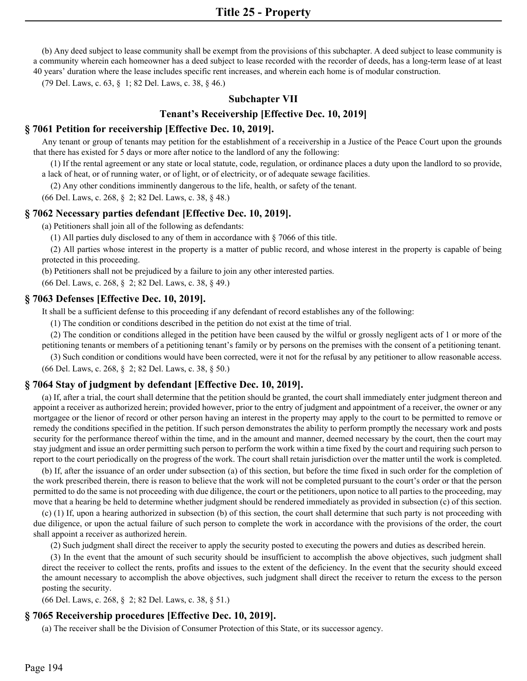(b) Any deed subject to lease community shall be exempt from the provisions of this subchapter. A deed subject to lease community is a community wherein each homeowner has a deed subject to lease recorded with the recorder of deeds, has a long-term lease of at least 40 years' duration where the lease includes specific rent increases, and wherein each home is of modular construction.

(79 Del. Laws, c. 63, § 1; 82 Del. Laws, c. 38, § 46.)

#### **Subchapter VII**

#### **Tenant's Receivership [Effective Dec. 10, 2019]**

#### **§ 7061 Petition for receivership [Effective Dec. 10, 2019].**

Any tenant or group of tenants may petition for the establishment of a receivership in a Justice of the Peace Court upon the grounds that there has existed for 5 days or more after notice to the landlord of any the following:

(1) If the rental agreement or any state or local statute, code, regulation, or ordinance places a duty upon the landlord to so provide, a lack of heat, or of running water, or of light, or of electricity, or of adequate sewage facilities.

(2) Any other conditions imminently dangerous to the life, health, or safety of the tenant.

(66 Del. Laws, c. 268, § 2; 82 Del. Laws, c. 38, § 48.)

#### **§ 7062 Necessary parties defendant [Effective Dec. 10, 2019].**

(a) Petitioners shall join all of the following as defendants:

(1) All parties duly disclosed to any of them in accordance with § 7066 of this title.

(2) All parties whose interest in the property is a matter of public record, and whose interest in the property is capable of being protected in this proceeding.

(b) Petitioners shall not be prejudiced by a failure to join any other interested parties.

(66 Del. Laws, c. 268, § 2; 82 Del. Laws, c. 38, § 49.)

#### **§ 7063 Defenses [Effective Dec. 10, 2019].**

It shall be a sufficient defense to this proceeding if any defendant of record establishes any of the following:

(1) The condition or conditions described in the petition do not exist at the time of trial.

(2) The condition or conditions alleged in the petition have been caused by the wilful or grossly negligent acts of 1 or more of the petitioning tenants or members of a petitioning tenant's family or by persons on the premises with the consent of a petitioning tenant.

(3) Such condition or conditions would have been corrected, were it not for the refusal by any petitioner to allow reasonable access. (66 Del. Laws, c. 268, § 2; 82 Del. Laws, c. 38, § 50.)

#### **§ 7064 Stay of judgment by defendant [Effective Dec. 10, 2019].**

(a) If, after a trial, the court shall determine that the petition should be granted, the court shall immediately enter judgment thereon and appoint a receiver as authorized herein; provided however, prior to the entry of judgment and appointment of a receiver, the owner or any mortgagee or the lienor of record or other person having an interest in the property may apply to the court to be permitted to remove or remedy the conditions specified in the petition. If such person demonstrates the ability to perform promptly the necessary work and posts security for the performance thereof within the time, and in the amount and manner, deemed necessary by the court, then the court may stay judgment and issue an order permitting such person to perform the work within a time fixed by the court and requiring such person to report to the court periodically on the progress of the work. The court shall retain jurisdiction over the matter until the work is completed.

(b) If, after the issuance of an order under subsection (a) of this section, but before the time fixed in such order for the completion of the work prescribed therein, there is reason to believe that the work will not be completed pursuant to the court's order or that the person permitted to do the same is not proceeding with due diligence, the court or the petitioners, upon notice to all parties to the proceeding, may move that a hearing be held to determine whether judgment should be rendered immediately as provided in subsection (c) of this section.

(c) (1) If, upon a hearing authorized in subsection (b) of this section, the court shall determine that such party is not proceeding with due diligence, or upon the actual failure of such person to complete the work in accordance with the provisions of the order, the court shall appoint a receiver as authorized herein.

(2) Such judgment shall direct the receiver to apply the security posted to executing the powers and duties as described herein.

(3) In the event that the amount of such security should be insufficient to accomplish the above objectives, such judgment shall direct the receiver to collect the rents, profits and issues to the extent of the deficiency. In the event that the security should exceed the amount necessary to accomplish the above objectives, such judgment shall direct the receiver to return the excess to the person posting the security.

(66 Del. Laws, c. 268, § 2; 82 Del. Laws, c. 38, § 51.)

## **§ 7065 Receivership procedures [Effective Dec. 10, 2019].**

(a) The receiver shall be the Division of Consumer Protection of this State, or its successor agency.